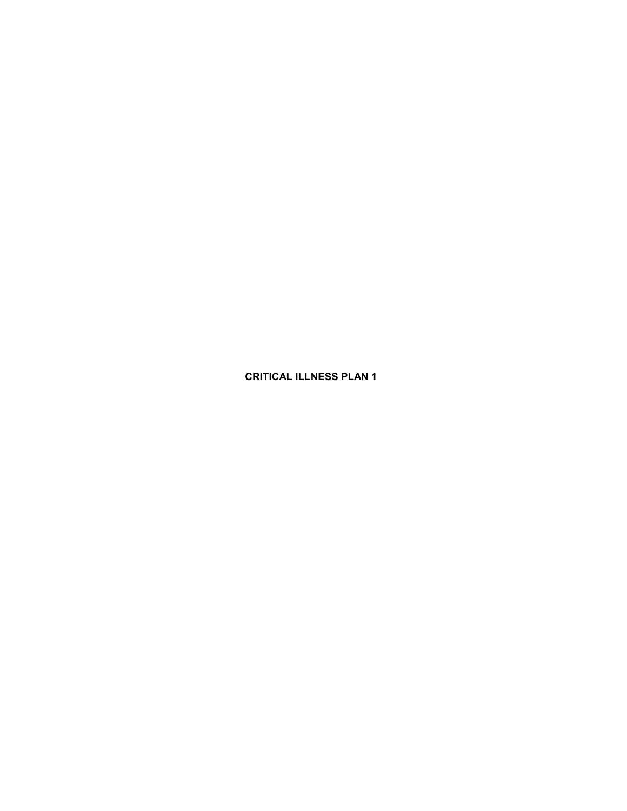#### **CRITICAL ILLNESS PLAN 1**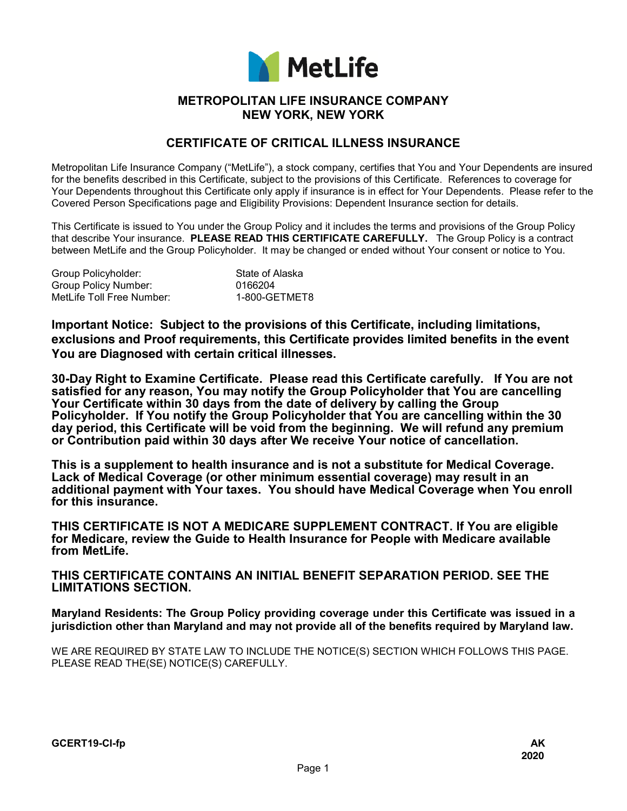

### **METROPOLITAN LIFE INSURANCE COMPANY NEW YORK, NEW YORK**

# **CERTIFICATE OF CRITICAL ILLNESS INSURANCE**

Metropolitan Life Insurance Company ("MetLife"), a stock company, certifies that You and Your Dependents are insured for the benefits described in this Certificate, subject to the provisions of this Certificate. References to coverage for Your Dependents throughout this Certificate only apply if insurance is in effect for Your Dependents. Please refer to the Covered Person Specifications page and Eligibility Provisions: Dependent Insurance section for details.

This Certificate is issued to You under the Group Policy and it includes the terms and provisions of the Group Policy that describe Your insurance. **PLEASE READ THIS CERTIFICATE CAREFULLY.** The Group Policy is a contract between MetLife and the Group Policyholder. It may be changed or ended without Your consent or notice to You.

| Group Policyholder:         |  |
|-----------------------------|--|
| <b>Group Policy Number:</b> |  |
| MetLife Toll Free Number:   |  |

State of Alaska 0166204 1-800-GETMET8

**Important Notice: Subject to the provisions of this Certificate, including limitations, exclusions and Proof requirements, this Certificate provides limited benefits in the event You are Diagnosed with certain critical illnesses.** 

**30-Day Right to Examine Certificate. Please read this Certificate carefully. If You are not satisfied for any reason, You may notify the Group Policyholder that You are cancelling Your Certificate within 30 days from the date of delivery by calling the Group Policyholder. If You notify the Group Policyholder that You are cancelling within the 30 day period, this Certificate will be void from the beginning. We will refund any premium or Contribution paid within 30 days after We receive Your notice of cancellation.** 

**This is a supplement to health insurance and is not a substitute for Medical Coverage. Lack of Medical Coverage (or other minimum essential coverage) may result in an additional payment with Your taxes. You should have Medical Coverage when You enroll for this insurance.** 

**THIS CERTIFICATE IS NOT A MEDICARE SUPPLEMENT CONTRACT. If You are eligible for Medicare, review the Guide to Health Insurance for People with Medicare available from MetLife.** 

**THIS CERTIFICATE CONTAINS AN INITIAL BENEFIT SEPARATION PERIOD. SEE THE LIMITATIONS SECTION.** 

**Maryland Residents: The Group Policy providing coverage under this Certificate was issued in a jurisdiction other than Maryland and may not provide all of the benefits required by Maryland law.** 

WE ARE REQUIRED BY STATE LAW TO INCLUDE THE NOTICE(S) SECTION WHICH FOLLOWS THIS PAGE. PLEASE READ THE(SE) NOTICE(S) CAREFULLY.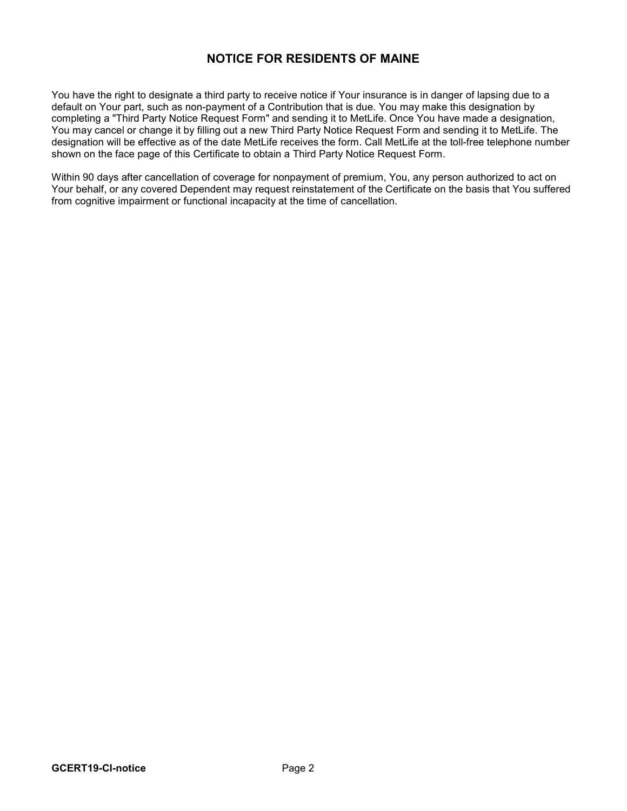# **NOTICE FOR RESIDENTS OF MAINE**

You have the right to designate a third party to receive notice if Your insurance is in danger of lapsing due to a default on Your part, such as non-payment of a Contribution that is due. You may make this designation by completing a "Third Party Notice Request Form" and sending it to MetLife. Once You have made a designation, You may cancel or change it by filling out a new Third Party Notice Request Form and sending it to MetLife. The designation will be effective as of the date MetLife receives the form. Call MetLife at the toll-free telephone number shown on the face page of this Certificate to obtain a Third Party Notice Request Form.

Within 90 days after cancellation of coverage for nonpayment of premium, You, any person authorized to act on Your behalf, or any covered Dependent may request reinstatement of the Certificate on the basis that You suffered from cognitive impairment or functional incapacity at the time of cancellation.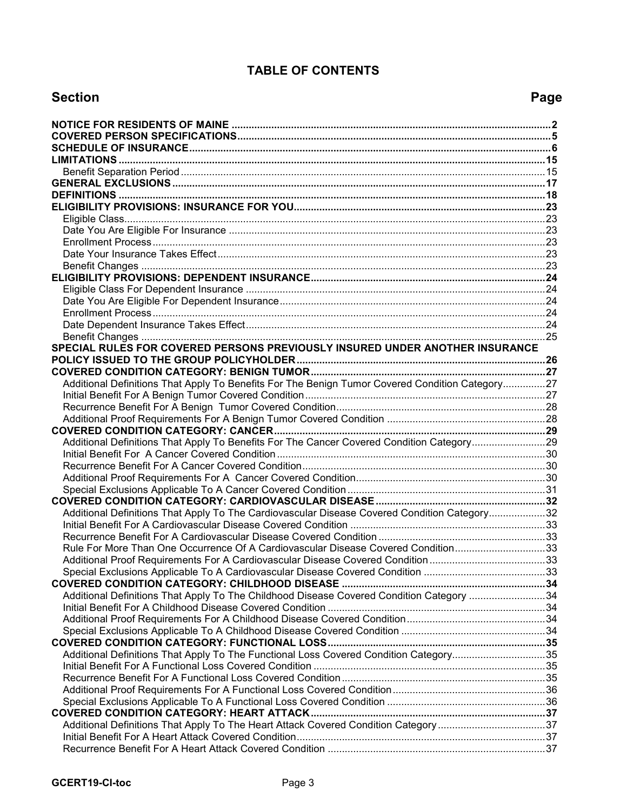# **TABLE OF CONTENTS**

# **Section Page**

| SPECIAL RULES FOR COVERED PERSONS PREVIOUSLY INSURED UNDER ANOTHER INSURANCE                    |  |
|-------------------------------------------------------------------------------------------------|--|
|                                                                                                 |  |
|                                                                                                 |  |
| Additional Definitions That Apply To Benefits For The Benign Tumor Covered Condition Category27 |  |
|                                                                                                 |  |
|                                                                                                 |  |
|                                                                                                 |  |
|                                                                                                 |  |
| Additional Definitions That Apply To Benefits For The Cancer Covered Condition Category29       |  |
|                                                                                                 |  |
|                                                                                                 |  |
|                                                                                                 |  |
|                                                                                                 |  |
|                                                                                                 |  |
| Additional Definitions That Apply To The Cardiovascular Disease Covered Condition Category32    |  |
|                                                                                                 |  |
| Rule For More Than One Occurrence Of A Cardiovascular Disease Covered Condition33               |  |
| Additional Proof Requirements For A Cardiovascular Disease Covered Condition 33                 |  |
|                                                                                                 |  |
|                                                                                                 |  |
| Additional Definitions That Apply To The Childhood Disease Covered Condition Category 34        |  |
|                                                                                                 |  |
|                                                                                                 |  |
|                                                                                                 |  |
|                                                                                                 |  |
| Additional Definitions That Apply To The Functional Loss Covered Condition Category35           |  |
|                                                                                                 |  |
|                                                                                                 |  |
|                                                                                                 |  |
|                                                                                                 |  |
|                                                                                                 |  |
| Additional Definitions That Apply To The Heart Attack Covered Condition Category 37             |  |
|                                                                                                 |  |
|                                                                                                 |  |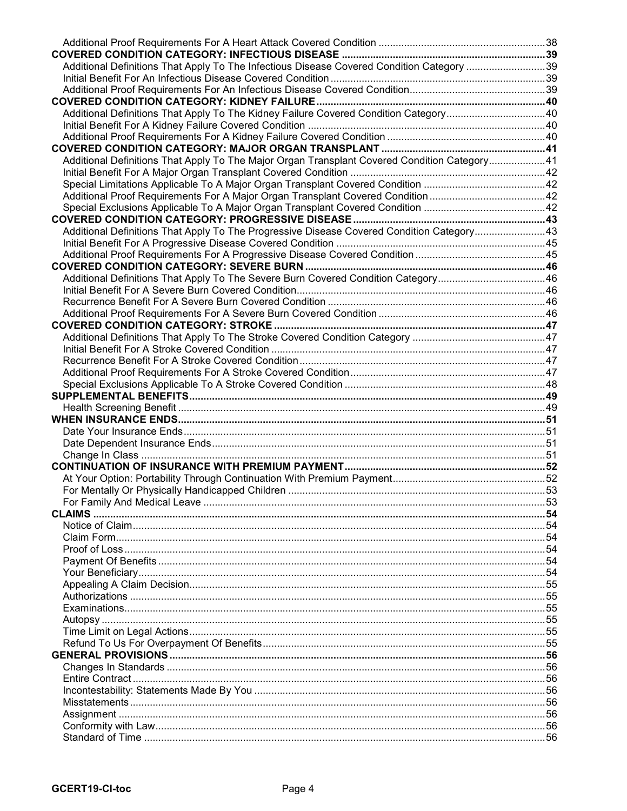| Additional Definitions That Apply To The Infectious Disease Covered Condition Category 39    |  |
|----------------------------------------------------------------------------------------------|--|
|                                                                                              |  |
|                                                                                              |  |
|                                                                                              |  |
| Additional Definitions That Apply To The Kidney Failure Covered Condition Category40         |  |
|                                                                                              |  |
|                                                                                              |  |
|                                                                                              |  |
| Additional Definitions That Apply To The Major Organ Transplant Covered Condition Category41 |  |
|                                                                                              |  |
|                                                                                              |  |
|                                                                                              |  |
|                                                                                              |  |
|                                                                                              |  |
| Additional Definitions That Apply To The Progressive Disease Covered Condition Category43    |  |
|                                                                                              |  |
|                                                                                              |  |
|                                                                                              |  |
| Additional Definitions That Apply To The Severe Burn Covered Condition Category46            |  |
|                                                                                              |  |
|                                                                                              |  |
|                                                                                              |  |
|                                                                                              |  |
|                                                                                              |  |
|                                                                                              |  |
|                                                                                              |  |
|                                                                                              |  |
|                                                                                              |  |
|                                                                                              |  |
|                                                                                              |  |
|                                                                                              |  |
|                                                                                              |  |
|                                                                                              |  |
|                                                                                              |  |
|                                                                                              |  |
|                                                                                              |  |
|                                                                                              |  |
|                                                                                              |  |
|                                                                                              |  |
|                                                                                              |  |
|                                                                                              |  |
|                                                                                              |  |
|                                                                                              |  |
|                                                                                              |  |
|                                                                                              |  |
|                                                                                              |  |
|                                                                                              |  |
|                                                                                              |  |
|                                                                                              |  |
|                                                                                              |  |
|                                                                                              |  |
|                                                                                              |  |
|                                                                                              |  |
|                                                                                              |  |
|                                                                                              |  |
|                                                                                              |  |
|                                                                                              |  |
|                                                                                              |  |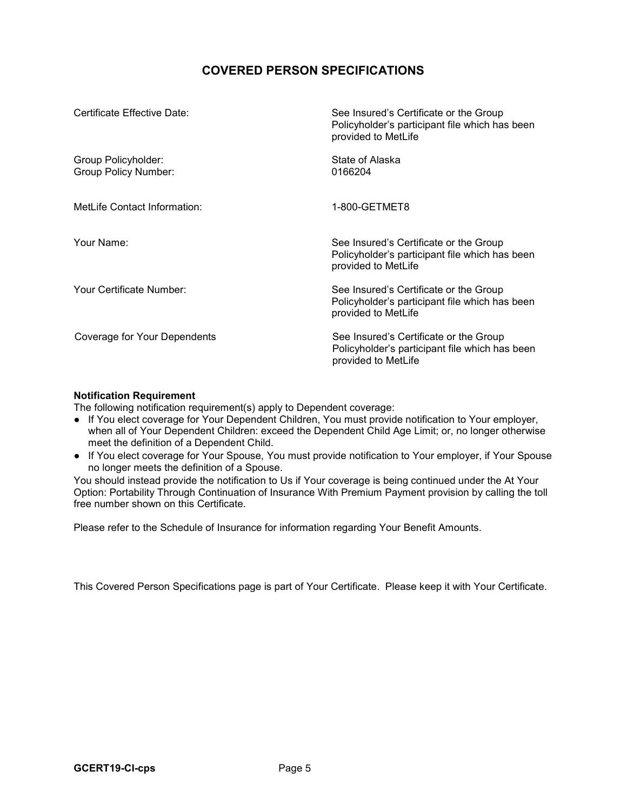# **COVERED PERSON SPECIFICATIONS**

| Certificate Effective Date:                 | See Insured's Certificate or the Group<br>Policyholder's participant file which has been<br>provided to MetLife |
|---------------------------------------------|-----------------------------------------------------------------------------------------------------------------|
| Group Policyholder:<br>Group Policy Number: | State of Alaska<br>0166204                                                                                      |
| MetLife Contact Information:                | 1-800-GETMET8                                                                                                   |
| Your Name:                                  | See Insured's Certificate or the Group<br>Policyholder's participant file which has been<br>provided to MetLife |
| Your Certificate Number:                    | See Insured's Certificate or the Group<br>Policyholder's participant file which has been<br>provided to MetLife |
| Coverage for Your Dependents                | See Insured's Certificate or the Group<br>Policyholder's participant file which has been<br>provided to MetLife |

#### **Notification Requirement**

The following notification requirement(s) apply to Dependent coverage:

- If You elect coverage for Your Dependent Children, You must provide notification to Your employer, when all of Your Dependent Children: exceed the Dependent Child Age Limit; or, no longer otherwise meet the definition of a Dependent Child.
- If You elect coverage for Your Spouse, You must provide notification to Your employer, if Your Spouse no longer meets the definition of a Spouse.

You should instead provide the notification to Us if Your coverage is being continued under the At Your Option: Portability Through Continuation of Insurance With Premium Payment provision by calling the toll free number shown on this Certificate.

Please refer to the Schedule of Insurance for information regarding Your Benefit Amounts.

This Covered Person Specifications page is part of Your Certificate. Please keep it with Your Certificate.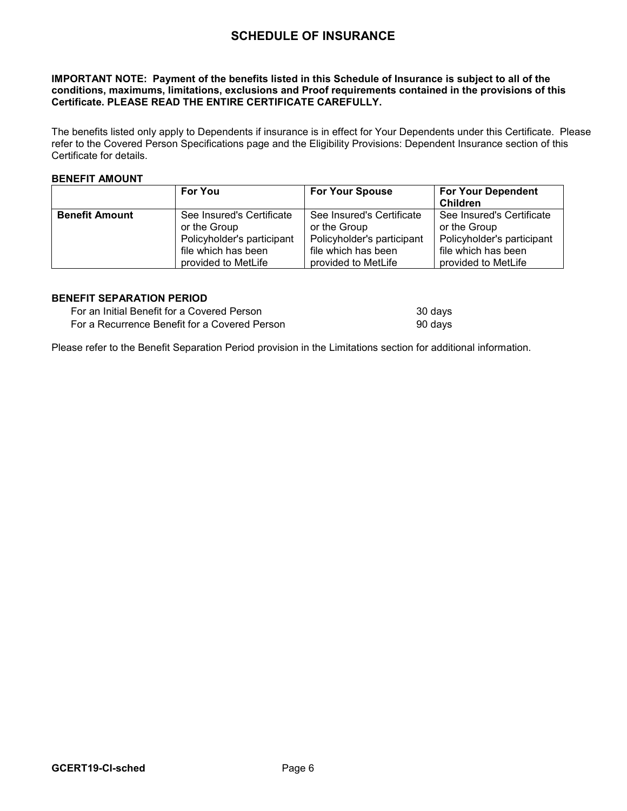# **SCHEDULE OF INSURANCE**

#### **IMPORTANT NOTE: Payment of the benefits listed in this Schedule of Insurance is subject to all of the conditions, maximums, limitations, exclusions and Proof requirements contained in the provisions of this Certificate. PLEASE READ THE ENTIRE CERTIFICATE CAREFULLY.**

The benefits listed only apply to Dependents if insurance is in effect for Your Dependents under this Certificate. Please refer to the Covered Person Specifications page and the Eligibility Provisions: Dependent Insurance section of this Certificate for details.

#### **BENEFIT AMOUNT**

|                       | <b>For You</b>             | <b>For Your Spouse</b>     | <b>For Your Dependent</b>  |
|-----------------------|----------------------------|----------------------------|----------------------------|
|                       |                            |                            | <b>Children</b>            |
| <b>Benefit Amount</b> | See Insured's Certificate  | See Insured's Certificate  | See Insured's Certificate  |
|                       | or the Group               | or the Group               | or the Group               |
|                       | Policyholder's participant | Policyholder's participant | Policyholder's participant |
|                       | file which has been        | file which has been        | file which has been        |
|                       | provided to MetLife        | provided to MetLife        | provided to MetLife        |

#### **BENEFIT SEPARATION PERIOD**

For an Initial Benefit for a Covered Person 30 days For a Recurrence Benefit for a Covered Person example of the second 90 days

Please refer to the Benefit Separation Period provision in the Limitations section for additional information.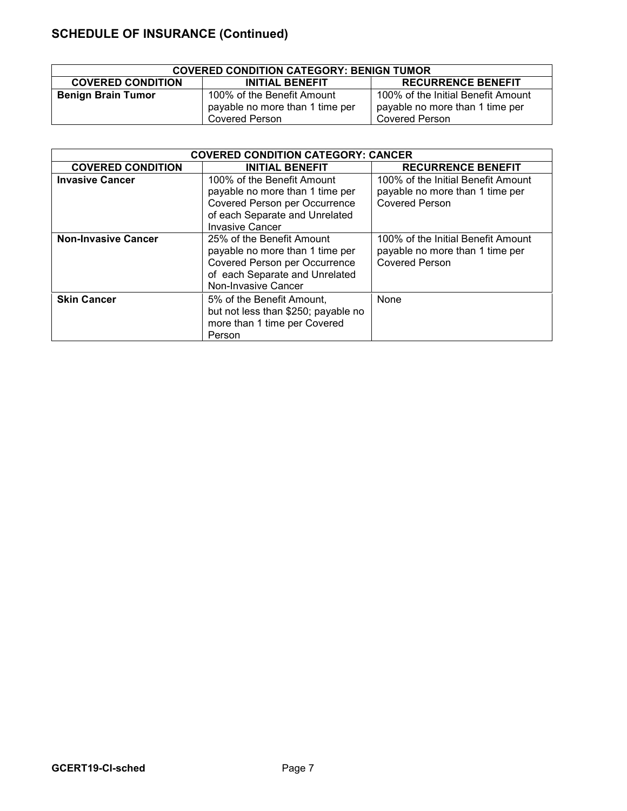| <b>COVERED CONDITION CATEGORY: BENIGN TUMOR</b>                                 |                                 |                                    |
|---------------------------------------------------------------------------------|---------------------------------|------------------------------------|
| <b>COVERED CONDITION</b><br><b>RECURRENCE BENEFIT</b><br><b>INITIAL BENEFIT</b> |                                 |                                    |
| <b>Benign Brain Tumor</b>                                                       | 100% of the Benefit Amount      | 100% of the Initial Benefit Amount |
|                                                                                 | payable no more than 1 time per | payable no more than 1 time per    |
|                                                                                 | Covered Person                  | Covered Person                     |

| <b>COVERED CONDITION CATEGORY: CANCER</b> |                                                                                                                                                                                         |                                                                                                |
|-------------------------------------------|-----------------------------------------------------------------------------------------------------------------------------------------------------------------------------------------|------------------------------------------------------------------------------------------------|
| <b>COVERED CONDITION</b>                  | <b>INITIAL BENEFIT</b>                                                                                                                                                                  | <b>RECURRENCE BENEFIT</b>                                                                      |
| <b>Invasive Cancer</b>                    | 100% of the Benefit Amount<br>payable no more than 1 time per<br><b>Covered Person per Occurrence</b><br>of each Separate and Unrelated                                                 | 100% of the Initial Benefit Amount<br>payable no more than 1 time per<br><b>Covered Person</b> |
| <b>Non-Invasive Cancer</b>                | <b>Invasive Cancer</b><br>25% of the Benefit Amount<br>payable no more than 1 time per<br><b>Covered Person per Occurrence</b><br>of each Separate and Unrelated<br>Non-Invasive Cancer | 100% of the Initial Benefit Amount<br>payable no more than 1 time per<br><b>Covered Person</b> |
| <b>Skin Cancer</b>                        | 5% of the Benefit Amount,<br>but not less than \$250; payable no<br>more than 1 time per Covered<br>Person                                                                              | None                                                                                           |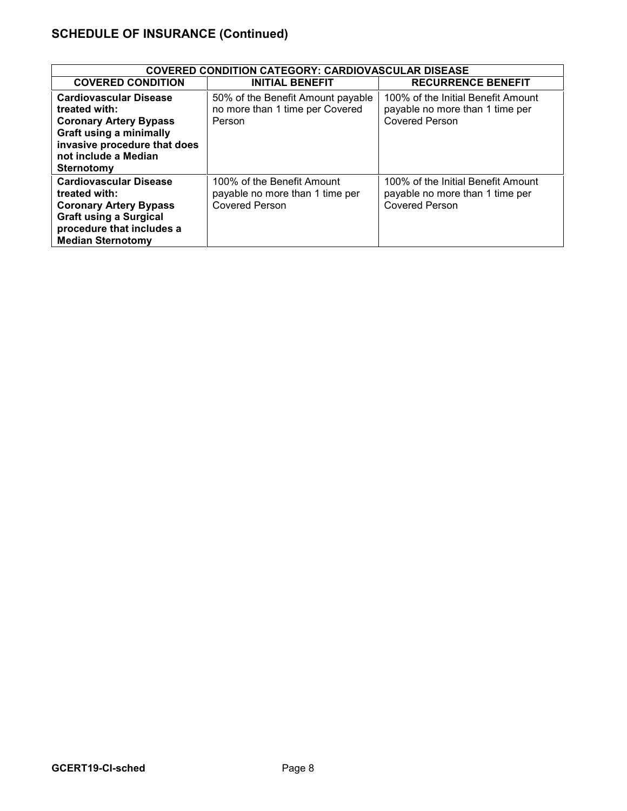| <b>COVERED CONDITION CATEGORY: CARDIOVASCULAR DISEASE</b>                                                                                                                               |                                                                                        |                                                                                                |
|-----------------------------------------------------------------------------------------------------------------------------------------------------------------------------------------|----------------------------------------------------------------------------------------|------------------------------------------------------------------------------------------------|
| <b>COVERED CONDITION</b>                                                                                                                                                                | <b>INITIAL BENEFIT</b>                                                                 | <b>RECURRENCE BENEFIT</b>                                                                      |
| <b>Cardiovascular Disease</b><br>treated with:<br><b>Coronary Artery Bypass</b><br><b>Graft using a minimally</b><br>invasive procedure that does<br>not include a Median<br>Sternotomy | 50% of the Benefit Amount payable<br>no more than 1 time per Covered<br>Person         | 100% of the Initial Benefit Amount<br>payable no more than 1 time per<br>Covered Person        |
| <b>Cardiovascular Disease</b><br>treated with:<br><b>Coronary Artery Bypass</b><br><b>Graft using a Surgical</b><br>procedure that includes a<br><b>Median Sternotomy</b>               | 100% of the Benefit Amount<br>payable no more than 1 time per<br><b>Covered Person</b> | 100% of the Initial Benefit Amount<br>payable no more than 1 time per<br><b>Covered Person</b> |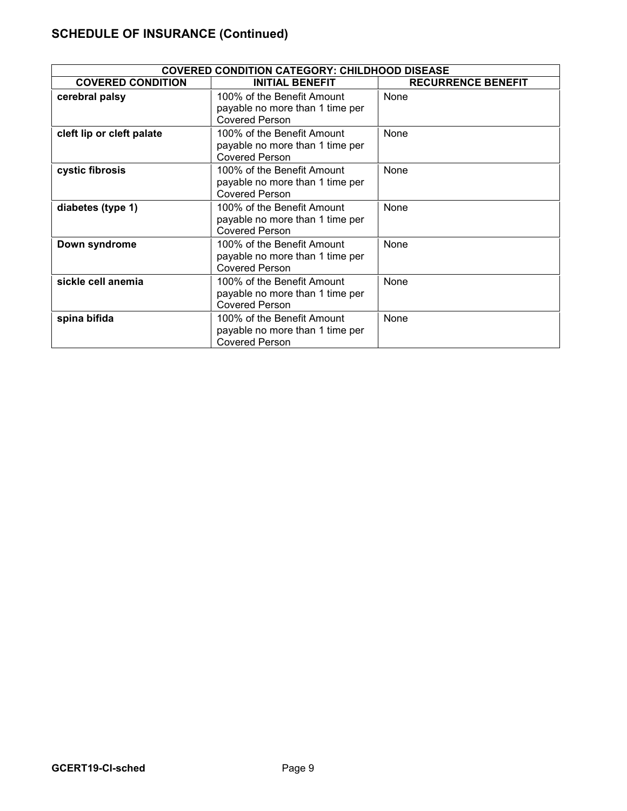| <b>COVERED CONDITION CATEGORY: CHILDHOOD DISEASE</b> |                                                                                        |                           |
|------------------------------------------------------|----------------------------------------------------------------------------------------|---------------------------|
| <b>COVERED CONDITION</b>                             | <b>INITIAL BENEFIT</b>                                                                 | <b>RECURRENCE BENEFIT</b> |
| cerebral palsy                                       | 100% of the Benefit Amount<br>payable no more than 1 time per<br><b>Covered Person</b> | None                      |
| cleft lip or cleft palate                            | 100% of the Benefit Amount<br>payable no more than 1 time per<br><b>Covered Person</b> | None                      |
| cystic fibrosis                                      | 100% of the Benefit Amount<br>payable no more than 1 time per<br><b>Covered Person</b> | None                      |
| diabetes (type 1)                                    | 100% of the Benefit Amount<br>payable no more than 1 time per<br><b>Covered Person</b> | None                      |
| Down syndrome                                        | 100% of the Benefit Amount<br>payable no more than 1 time per<br><b>Covered Person</b> | None                      |
| sickle cell anemia                                   | 100% of the Benefit Amount<br>payable no more than 1 time per<br><b>Covered Person</b> | None                      |
| spina bifida                                         | 100% of the Benefit Amount<br>payable no more than 1 time per<br><b>Covered Person</b> | None                      |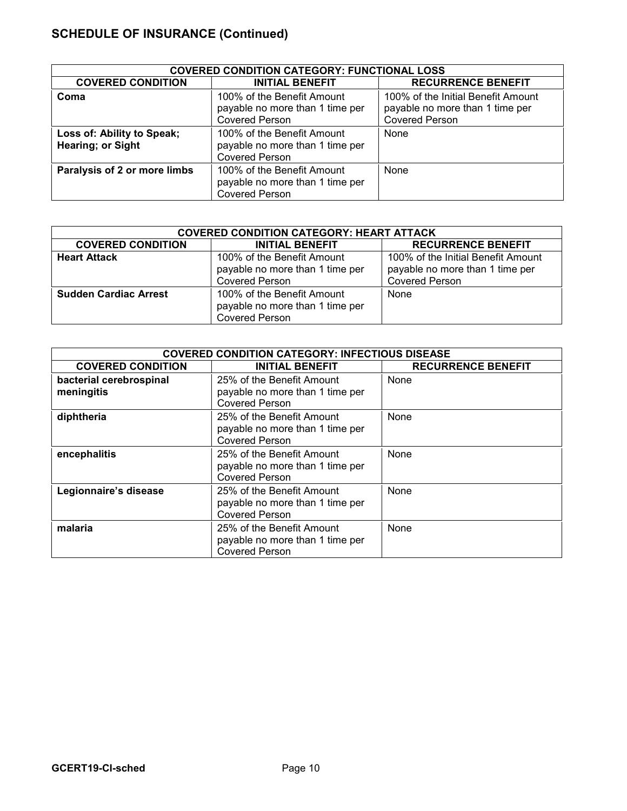| <b>COVERED CONDITION CATEGORY: FUNCTIONAL LOSS</b> |                                                                                        |                                                                                                |
|----------------------------------------------------|----------------------------------------------------------------------------------------|------------------------------------------------------------------------------------------------|
| <b>COVERED CONDITION</b>                           | <b>INITIAL BENEFIT</b>                                                                 | <b>RECURRENCE BENEFIT</b>                                                                      |
| Coma                                               | 100% of the Benefit Amount<br>payable no more than 1 time per<br><b>Covered Person</b> | 100% of the Initial Benefit Amount<br>payable no more than 1 time per<br><b>Covered Person</b> |
| Loss of: Ability to Speak;<br>Hearing; or Sight    | 100% of the Benefit Amount<br>payable no more than 1 time per<br><b>Covered Person</b> | None                                                                                           |
| Paralysis of 2 or more limbs                       | 100% of the Benefit Amount<br>payable no more than 1 time per<br><b>Covered Person</b> | <b>None</b>                                                                                    |

| <b>COVERED CONDITION CATEGORY: HEART ATTACK</b> |                                                                                        |                                    |
|-------------------------------------------------|----------------------------------------------------------------------------------------|------------------------------------|
| <b>COVERED CONDITION</b>                        | <b>INITIAL BENEFIT</b>                                                                 | <b>RECURRENCE BENEFIT</b>          |
| <b>Heart Attack</b>                             | 100% of the Benefit Amount                                                             | 100% of the Initial Benefit Amount |
|                                                 | payable no more than 1 time per                                                        | payable no more than 1 time per    |
|                                                 | <b>Covered Person</b>                                                                  | <b>Covered Person</b>              |
| <b>Sudden Cardiac Arrest</b>                    | 100% of the Benefit Amount<br>payable no more than 1 time per<br><b>Covered Person</b> | None                               |

| <b>COVERED CONDITION CATEGORY: INFECTIOUS DISEASE</b> |                                                                                       |                           |
|-------------------------------------------------------|---------------------------------------------------------------------------------------|---------------------------|
| <b>COVERED CONDITION</b>                              | <b>INITIAL BENEFIT</b>                                                                | <b>RECURRENCE BENEFIT</b> |
| bacterial cerebrospinal<br>meningitis                 | 25% of the Benefit Amount<br>payable no more than 1 time per<br><b>Covered Person</b> | <b>None</b>               |
| diphtheria                                            | 25% of the Benefit Amount<br>payable no more than 1 time per<br><b>Covered Person</b> | None                      |
| encephalitis                                          | 25% of the Benefit Amount<br>payable no more than 1 time per<br><b>Covered Person</b> | <b>None</b>               |
| Legionnaire's disease                                 | 25% of the Benefit Amount<br>payable no more than 1 time per<br><b>Covered Person</b> | None                      |
| malaria                                               | 25% of the Benefit Amount<br>payable no more than 1 time per<br><b>Covered Person</b> | None                      |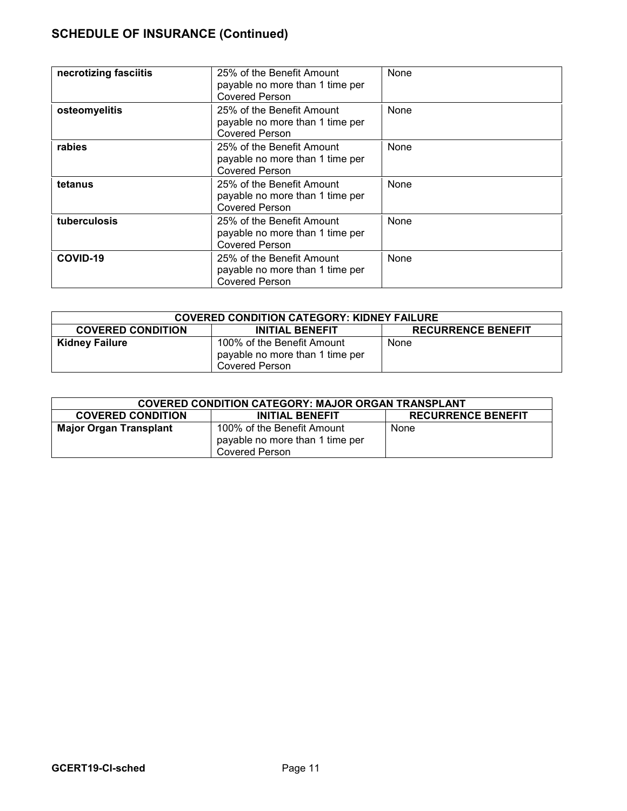| necrotizing fasciitis | 25% of the Benefit Amount<br>None<br>payable no more than 1 time per<br><b>Covered Person</b> |      |
|-----------------------|-----------------------------------------------------------------------------------------------|------|
| osteomyelitis         | 25% of the Benefit Amount<br>payable no more than 1 time per<br><b>Covered Person</b>         | None |
| rabies                | 25% of the Benefit Amount<br>payable no more than 1 time per<br><b>Covered Person</b>         | None |
| tetanus               | 25% of the Benefit Amount<br>payable no more than 1 time per<br>Covered Person                | None |
| tuberculosis          | 25% of the Benefit Amount<br>payable no more than 1 time per<br><b>Covered Person</b>         | None |
| COVID-19              | 25% of the Benefit Amount<br>payable no more than 1 time per<br><b>Covered Person</b>         | None |

| <b>COVERED CONDITION CATEGORY: KIDNEY FAILURE</b>                               |                                                                                 |      |  |
|---------------------------------------------------------------------------------|---------------------------------------------------------------------------------|------|--|
| <b>COVERED CONDITION</b><br><b>RECURRENCE BENEFIT</b><br><b>INITIAL BENEFIT</b> |                                                                                 |      |  |
| <b>Kidney Failure</b>                                                           | 100% of the Benefit Amount<br>payable no more than 1 time per<br>Covered Person | None |  |

| <b>COVERED CONDITION CATEGORY: MAJOR ORGAN TRANSPLANT</b>                       |                                                                                         |  |  |
|---------------------------------------------------------------------------------|-----------------------------------------------------------------------------------------|--|--|
| <b>COVERED CONDITION</b><br><b>RECURRENCE BENEFIT</b><br><b>INITIAL BENEFIT</b> |                                                                                         |  |  |
| <b>Major Organ Transplant</b>                                                   | 100% of the Benefit Amount<br>None<br>payable no more than 1 time per<br>Covered Person |  |  |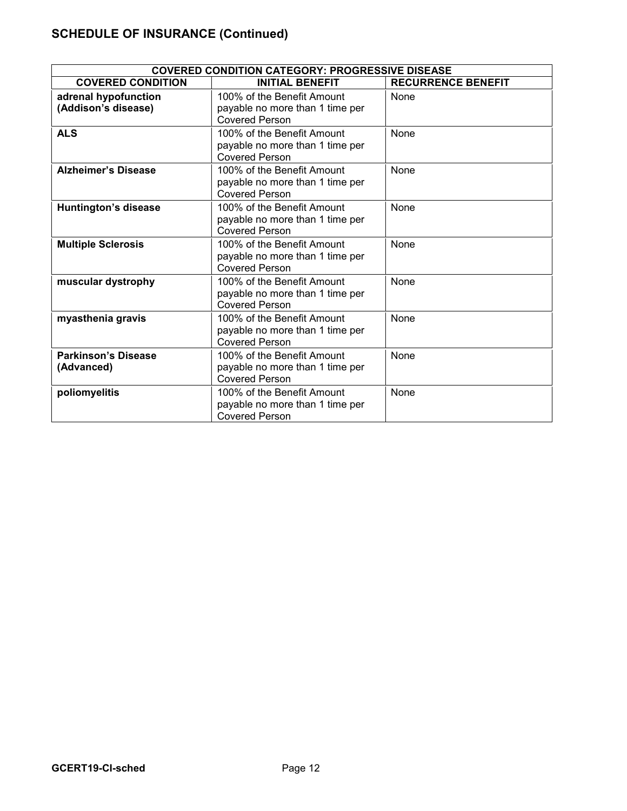| <b>COVERED CONDITION CATEGORY: PROGRESSIVE DISEASE</b> |                                                          |                           |  |
|--------------------------------------------------------|----------------------------------------------------------|---------------------------|--|
| <b>COVERED CONDITION</b>                               | <b>INITIAL BENEFIT</b>                                   | <b>RECURRENCE BENEFIT</b> |  |
| adrenal hypofunction                                   | 100% of the Benefit Amount                               | None                      |  |
| (Addison's disease)                                    | payable no more than 1 time per                          |                           |  |
|                                                        | <b>Covered Person</b>                                    |                           |  |
| <b>ALS</b>                                             | 100% of the Benefit Amount                               | None                      |  |
|                                                        | payable no more than 1 time per                          |                           |  |
|                                                        | <b>Covered Person</b>                                    |                           |  |
| <b>Alzheimer's Disease</b>                             | 100% of the Benefit Amount                               | None                      |  |
|                                                        | payable no more than 1 time per                          |                           |  |
|                                                        | <b>Covered Person</b>                                    |                           |  |
| Huntington's disease                                   | 100% of the Benefit Amount                               | None                      |  |
|                                                        | payable no more than 1 time per                          |                           |  |
|                                                        | <b>Covered Person</b>                                    |                           |  |
| <b>Multiple Sclerosis</b>                              | 100% of the Benefit Amount                               | None                      |  |
|                                                        | payable no more than 1 time per                          |                           |  |
|                                                        | <b>Covered Person</b>                                    |                           |  |
| muscular dystrophy                                     | 100% of the Benefit Amount                               | None                      |  |
|                                                        | payable no more than 1 time per                          |                           |  |
|                                                        | <b>Covered Person</b>                                    |                           |  |
| myasthenia gravis                                      | 100% of the Benefit Amount                               | None                      |  |
|                                                        | payable no more than 1 time per                          |                           |  |
|                                                        | <b>Covered Person</b>                                    |                           |  |
| <b>Parkinson's Disease</b>                             | 100% of the Benefit Amount                               | None                      |  |
| (Advanced)                                             | payable no more than 1 time per                          |                           |  |
|                                                        | <b>Covered Person</b>                                    |                           |  |
| poliomyelitis                                          | 100% of the Benefit Amount                               | None                      |  |
|                                                        | payable no more than 1 time per<br><b>Covered Person</b> |                           |  |
|                                                        |                                                          |                           |  |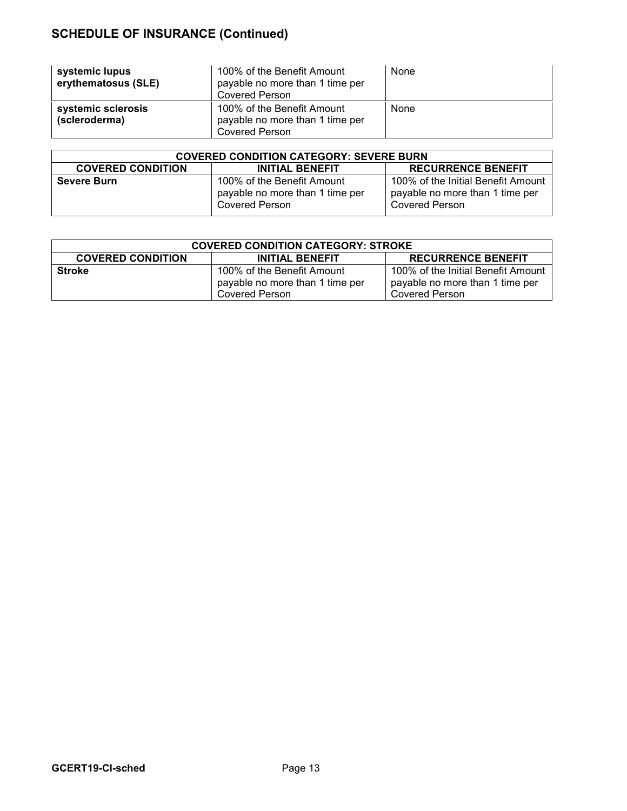| systemic lupus<br>erythematosus (SLE) | 100% of the Benefit Amount<br>payable no more than 1 time per<br>Covered Person | None |
|---------------------------------------|---------------------------------------------------------------------------------|------|
| systemic sclerosis<br>(scleroderma)   | 100% of the Benefit Amount<br>payable no more than 1 time per<br>Covered Person | None |

| <b>COVERED CONDITION CATEGORY: SEVERE BURN</b>                                  |                                                                                        |                                                                                                |  |
|---------------------------------------------------------------------------------|----------------------------------------------------------------------------------------|------------------------------------------------------------------------------------------------|--|
| <b>COVERED CONDITION</b><br><b>RECURRENCE BENEFIT</b><br><b>INITIAL BENEFIT</b> |                                                                                        |                                                                                                |  |
| <b>Severe Burn</b>                                                              | 100% of the Benefit Amount<br>payable no more than 1 time per<br><b>Covered Person</b> | 100% of the Initial Benefit Amount<br>payable no more than 1 time per<br><b>Covered Person</b> |  |

| <b>COVERED CONDITION CATEGORY: STROKE</b>                                       |                            |                                    |  |
|---------------------------------------------------------------------------------|----------------------------|------------------------------------|--|
| <b>COVERED CONDITION</b><br><b>RECURRENCE BENEFIT</b><br><b>INITIAL BENEFIT</b> |                            |                                    |  |
| <b>Stroke</b>                                                                   | 100% of the Benefit Amount | 100% of the Initial Benefit Amount |  |
| payable no more than 1 time per                                                 |                            | payable no more than 1 time per    |  |
| Covered Person<br>Covered Person                                                |                            |                                    |  |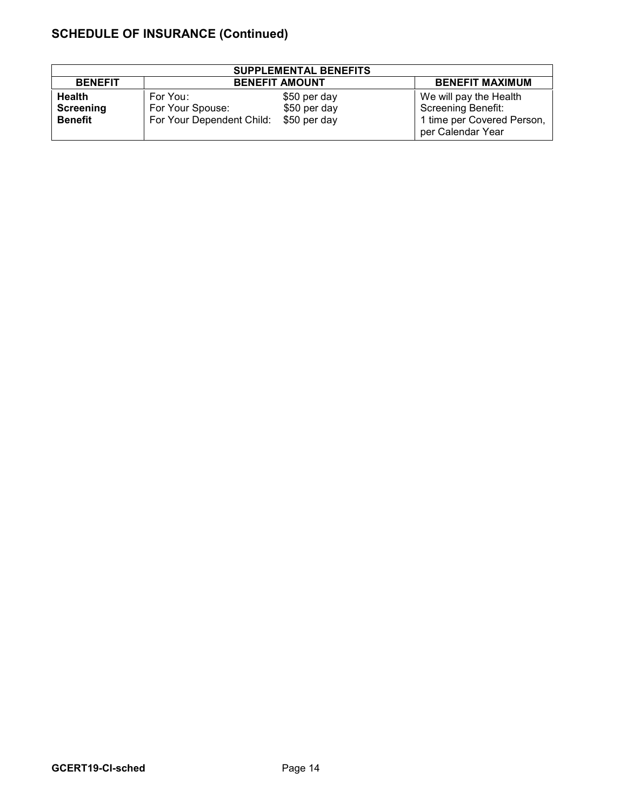| <b>SUPPLEMENTAL BENEFITS</b> |                                                 |              |                                                 |
|------------------------------|-------------------------------------------------|--------------|-------------------------------------------------|
| <b>BENEFIT</b>               | <b>BENEFIT MAXIMUM</b><br><b>BENEFIT AMOUNT</b> |              |                                                 |
| Health                       | For You:                                        | \$50 per day | We will pay the Health                          |
| <b>Screening</b>             | For Your Spouse:                                | \$50 per day | <b>Screening Benefit:</b>                       |
| <b>Benefit</b>               | For Your Dependent Child:                       | \$50 per day | 1 time per Covered Person,<br>per Calendar Year |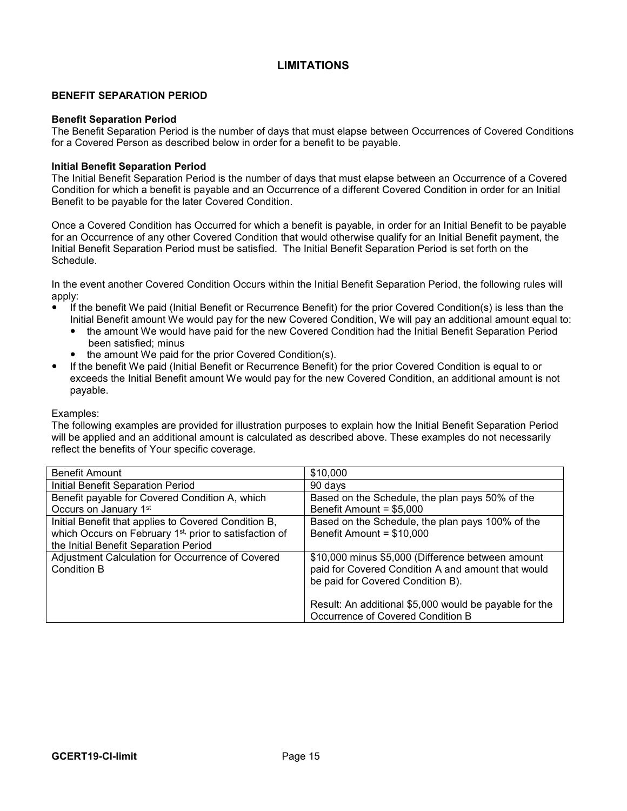#### **LIMITATIONS**

#### **BENEFIT SEPARATION PERIOD**

#### **Benefit Separation Period**

The Benefit Separation Period is the number of days that must elapse between Occurrences of Covered Conditions for a Covered Person as described below in order for a benefit to be payable.

#### **Initial Benefit Separation Period**

The Initial Benefit Separation Period is the number of days that must elapse between an Occurrence of a Covered Condition for which a benefit is payable and an Occurrence of a different Covered Condition in order for an Initial Benefit to be payable for the later Covered Condition.

Once a Covered Condition has Occurred for which a benefit is payable, in order for an Initial Benefit to be payable for an Occurrence of any other Covered Condition that would otherwise qualify for an Initial Benefit payment, the Initial Benefit Separation Period must be satisfied. The Initial Benefit Separation Period is set forth on the Schedule.

In the event another Covered Condition Occurs within the Initial Benefit Separation Period, the following rules will apply:

- If the benefit We paid (Initial Benefit or Recurrence Benefit) for the prior Covered Condition(s) is less than the Initial Benefit amount We would pay for the new Covered Condition, We will pay an additional amount equal to:
	- the amount We would have paid for the new Covered Condition had the Initial Benefit Separation Period been satisfied; minus
	- the amount We paid for the prior Covered Condition(s).
- If the benefit We paid (Initial Benefit or Recurrence Benefit) for the prior Covered Condition is equal to or exceeds the Initial Benefit amount We would pay for the new Covered Condition, an additional amount is not payable.

#### Examples:

The following examples are provided for illustration purposes to explain how the Initial Benefit Separation Period will be applied and an additional amount is calculated as described above. These examples do not necessarily reflect the benefits of Your specific coverage.

| <b>Benefit Amount</b>                                              | \$10,000                                               |
|--------------------------------------------------------------------|--------------------------------------------------------|
| Initial Benefit Separation Period                                  | 90 days                                                |
| Benefit payable for Covered Condition A, which                     | Based on the Schedule, the plan pays 50% of the        |
| Occurs on January 1st                                              | Benefit Amount = $$5,000$                              |
| Initial Benefit that applies to Covered Condition B,               | Based on the Schedule, the plan pays 100% of the       |
| which Occurs on February 1 <sup>st,</sup> prior to satisfaction of | Benefit Amount = $$10,000$                             |
| the Initial Benefit Separation Period                              |                                                        |
| Adjustment Calculation for Occurrence of Covered                   | \$10,000 minus \$5,000 (Difference between amount      |
| Condition B                                                        | paid for Covered Condition A and amount that would     |
|                                                                    | be paid for Covered Condition B).                      |
|                                                                    |                                                        |
|                                                                    | Result: An additional \$5,000 would be payable for the |
|                                                                    | Occurrence of Covered Condition B                      |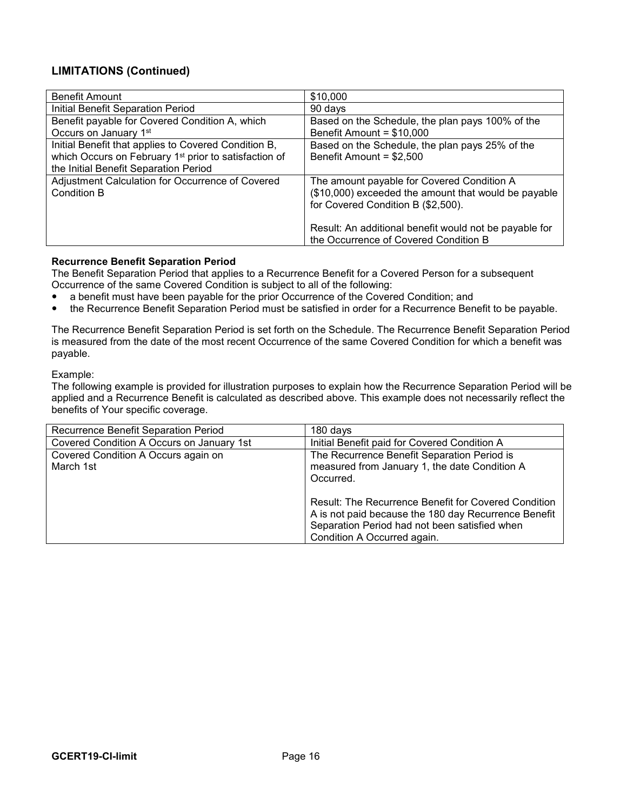# **LIMITATIONS (Continued)**

| <b>Benefit Amount</b>                                             | \$10,000                                               |
|-------------------------------------------------------------------|--------------------------------------------------------|
| Initial Benefit Separation Period                                 | 90 days                                                |
| Benefit payable for Covered Condition A, which                    | Based on the Schedule, the plan pays 100% of the       |
| Occurs on January 1st                                             | Benefit Amount = $$10,000$                             |
| Initial Benefit that applies to Covered Condition B,              | Based on the Schedule, the plan pays 25% of the        |
| which Occurs on February 1 <sup>st</sup> prior to satisfaction of | Benefit Amount = $$2,500$                              |
| the Initial Benefit Separation Period                             |                                                        |
| Adjustment Calculation for Occurrence of Covered                  | The amount payable for Covered Condition A             |
| Condition B                                                       | (\$10,000) exceeded the amount that would be payable   |
|                                                                   | for Covered Condition B (\$2,500).                     |
|                                                                   |                                                        |
|                                                                   | Result: An additional benefit would not be payable for |
|                                                                   | the Occurrence of Covered Condition B                  |

#### **Recurrence Benefit Separation Period**

The Benefit Separation Period that applies to a Recurrence Benefit for a Covered Person for a subsequent Occurrence of the same Covered Condition is subject to all of the following:

- a benefit must have been payable for the prior Occurrence of the Covered Condition; and
- the Recurrence Benefit Separation Period must be satisfied in order for a Recurrence Benefit to be payable.

The Recurrence Benefit Separation Period is set forth on the Schedule. The Recurrence Benefit Separation Period is measured from the date of the most recent Occurrence of the same Covered Condition for which a benefit was payable.

Example:

The following example is provided for illustration purposes to explain how the Recurrence Separation Period will be applied and a Recurrence Benefit is calculated as described above. This example does not necessarily reflect the benefits of Your specific coverage.

| Recurrence Benefit Separation Period      | 180 days                                                    |
|-------------------------------------------|-------------------------------------------------------------|
| Covered Condition A Occurs on January 1st | Initial Benefit paid for Covered Condition A                |
| Covered Condition A Occurs again on       | The Recurrence Benefit Separation Period is                 |
| March 1st                                 | measured from January 1, the date Condition A               |
|                                           | Occurred.                                                   |
|                                           |                                                             |
|                                           | <b>Result: The Recurrence Benefit for Covered Condition</b> |
|                                           | A is not paid because the 180 day Recurrence Benefit        |
|                                           | Separation Period had not been satisfied when               |
|                                           | Condition A Occurred again.                                 |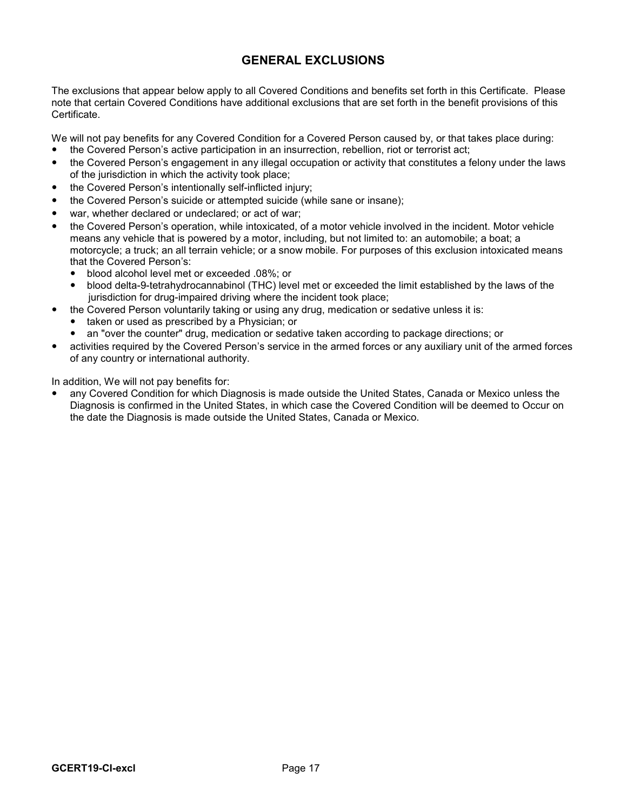# **GENERAL EXCLUSIONS**

The exclusions that appear below apply to all Covered Conditions and benefits set forth in this Certificate. Please note that certain Covered Conditions have additional exclusions that are set forth in the benefit provisions of this Certificate.

We will not pay benefits for any Covered Condition for a Covered Person caused by, or that takes place during:

- the Covered Person's active participation in an insurrection, rebellion, riot or terrorist act;
- the Covered Person's engagement in any illegal occupation or activity that constitutes a felony under the laws of the jurisdiction in which the activity took place;
- the Covered Person's intentionally self-inflicted injury;
- the Covered Person's suicide or attempted suicide (while sane or insane);
- war, whether declared or undeclared; or act of war;
- the Covered Person's operation, while intoxicated, of a motor vehicle involved in the incident. Motor vehicle means any vehicle that is powered by a motor, including, but not limited to: an automobile; a boat; a motorcycle; a truck; an all terrain vehicle; or a snow mobile. For purposes of this exclusion intoxicated means that the Covered Person's:
	- blood alcohol level met or exceeded .08%; or
	- blood delta-9-tetrahydrocannabinol (THC) level met or exceeded the limit established by the laws of the jurisdiction for drug-impaired driving where the incident took place;
- the Covered Person voluntarily taking or using any drug, medication or sedative unless it is:
	- taken or used as prescribed by a Physician; or
	- an "over the counter" drug, medication or sedative taken according to package directions; or
- activities required by the Covered Person's service in the armed forces or any auxiliary unit of the armed forces of any country or international authority.

In addition, We will not pay benefits for:

 any Covered Condition for which Diagnosis is made outside the United States, Canada or Mexico unless the Diagnosis is confirmed in the United States, in which case the Covered Condition will be deemed to Occur on the date the Diagnosis is made outside the United States, Canada or Mexico.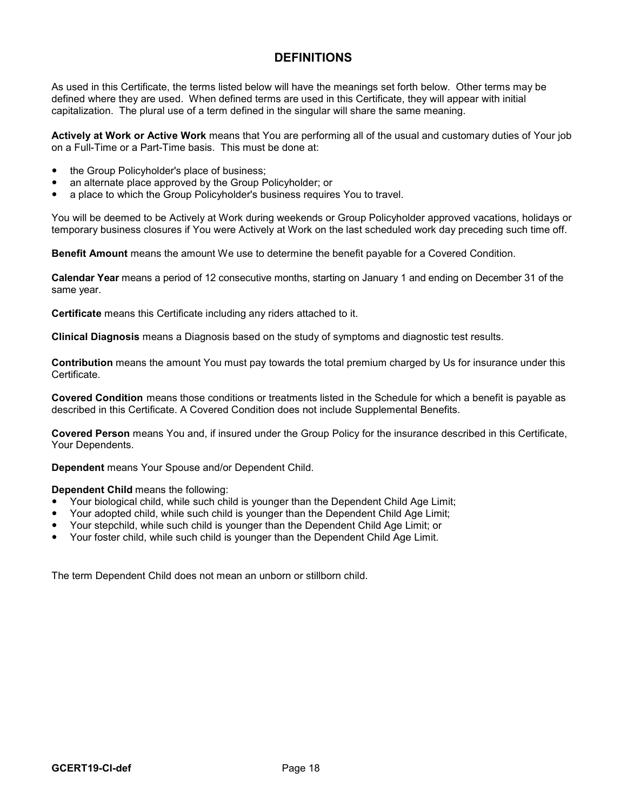# **DEFINITIONS**

As used in this Certificate, the terms listed below will have the meanings set forth below. Other terms may be defined where they are used. When defined terms are used in this Certificate, they will appear with initial capitalization. The plural use of a term defined in the singular will share the same meaning.

**Actively at Work or Active Work** means that You are performing all of the usual and customary duties of Your job on a Full-Time or a Part-Time basis. This must be done at:

- the Group Policyholder's place of business;
- an alternate place approved by the Group Policyholder; or
- a place to which the Group Policyholder's business requires You to travel.

You will be deemed to be Actively at Work during weekends or Group Policyholder approved vacations, holidays or temporary business closures if You were Actively at Work on the last scheduled work day preceding such time off.

**Benefit Amount** means the amount We use to determine the benefit payable for a Covered Condition.

**Calendar Year** means a period of 12 consecutive months, starting on January 1 and ending on December 31 of the same year.

**Certificate** means this Certificate including any riders attached to it.

**Clinical Diagnosis** means a Diagnosis based on the study of symptoms and diagnostic test results.

**Contribution** means the amount You must pay towards the total premium charged by Us for insurance under this **Certificate** 

**Covered Condition** means those conditions or treatments listed in the Schedule for which a benefit is payable as described in this Certificate. A Covered Condition does not include Supplemental Benefits.

**Covered Person** means You and, if insured under the Group Policy for the insurance described in this Certificate, Your Dependents.

**Dependent** means Your Spouse and/or Dependent Child.

**Dependent Child** means the following:

- Your biological child, while such child is younger than the Dependent Child Age Limit;
- Your adopted child, while such child is younger than the Dependent Child Age Limit;
- Your stepchild, while such child is younger than the Dependent Child Age Limit; or
- Your foster child, while such child is younger than the Dependent Child Age Limit.

The term Dependent Child does not mean an unborn or stillborn child.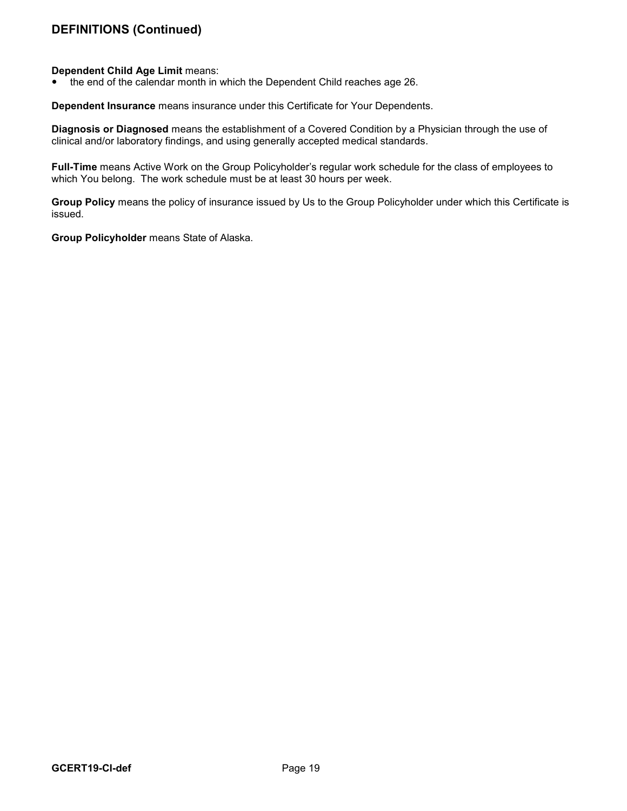#### **Dependent Child Age Limit** means:

• the end of the calendar month in which the Dependent Child reaches age 26.

**Dependent Insurance** means insurance under this Certificate for Your Dependents.

**Diagnosis or Diagnosed** means the establishment of a Covered Condition by a Physician through the use of clinical and/or laboratory findings, and using generally accepted medical standards.

**Full-Time** means Active Work on the Group Policyholder's regular work schedule for the class of employees to which You belong. The work schedule must be at least 30 hours per week.

**Group Policy** means the policy of insurance issued by Us to the Group Policyholder under which this Certificate is issued.

**Group Policyholder** means State of Alaska.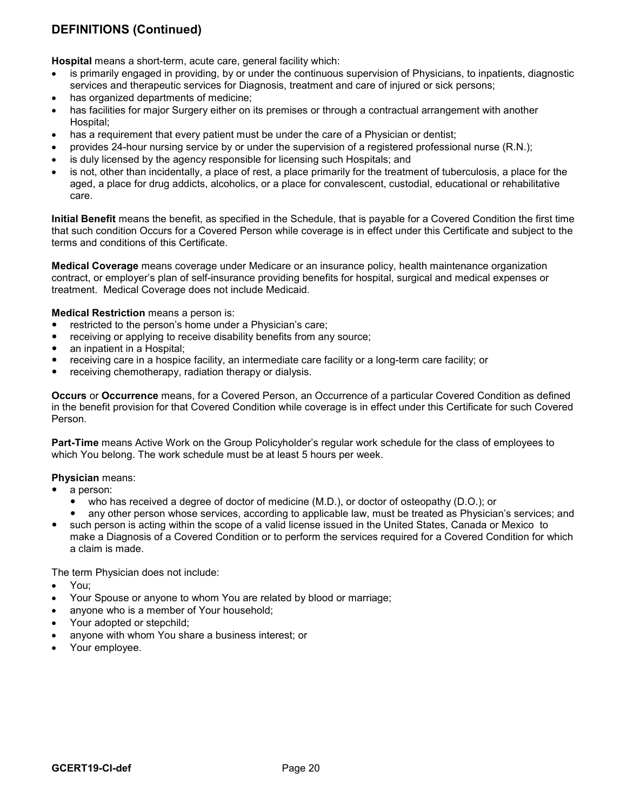**Hospital** means a short-term, acute care, general facility which:

- is primarily engaged in providing, by or under the continuous supervision of Physicians, to inpatients, diagnostic services and therapeutic services for Diagnosis, treatment and care of injured or sick persons;
- has organized departments of medicine:
- has facilities for major Surgery either on its premises or through a contractual arrangement with another Hospital;
- has a requirement that every patient must be under the care of a Physician or dentist;
- provides 24-hour nursing service by or under the supervision of a registered professional nurse (R.N.);
- is duly licensed by the agency responsible for licensing such Hospitals; and
- is not, other than incidentally, a place of rest, a place primarily for the treatment of tuberculosis, a place for the aged, a place for drug addicts, alcoholics, or a place for convalescent, custodial, educational or rehabilitative care.

**Initial Benefit** means the benefit, as specified in the Schedule, that is payable for a Covered Condition the first time that such condition Occurs for a Covered Person while coverage is in effect under this Certificate and subject to the terms and conditions of this Certificate.

**Medical Coverage** means coverage under Medicare or an insurance policy, health maintenance organization contract, or employer's plan of self-insurance providing benefits for hospital, surgical and medical expenses or treatment. Medical Coverage does not include Medicaid.

**Medical Restriction** means a person is:

- restricted to the person's home under a Physician's care;
- receiving or applying to receive disability benefits from any source;
- an inpatient in a Hospital;
- receiving care in a hospice facility, an intermediate care facility or a long-term care facility; or
- receiving chemotherapy, radiation therapy or dialysis.

**Occurs** or **Occurrence** means, for a Covered Person, an Occurrence of a particular Covered Condition as defined in the benefit provision for that Covered Condition while coverage is in effect under this Certificate for such Covered Person.

**Part-Time** means Active Work on the Group Policyholder's regular work schedule for the class of employees to which You belong. The work schedule must be at least 5 hours per week.

#### **Physician** means:

- a person:
	- who has received a degree of doctor of medicine (M.D.), or doctor of osteopathy (D.O.); or
	- any other person whose services, according to applicable law, must be treated as Physician's services; and
- such person is acting within the scope of a valid license issued in the United States, Canada or Mexico to make a Diagnosis of a Covered Condition or to perform the services required for a Covered Condition for which a claim is made.

The term Physician does not include:

- You;
- Your Spouse or anyone to whom You are related by blood or marriage;
- anyone who is a member of Your household;
- Your adopted or stepchild;
- anyone with whom You share a business interest; or
- Your employee.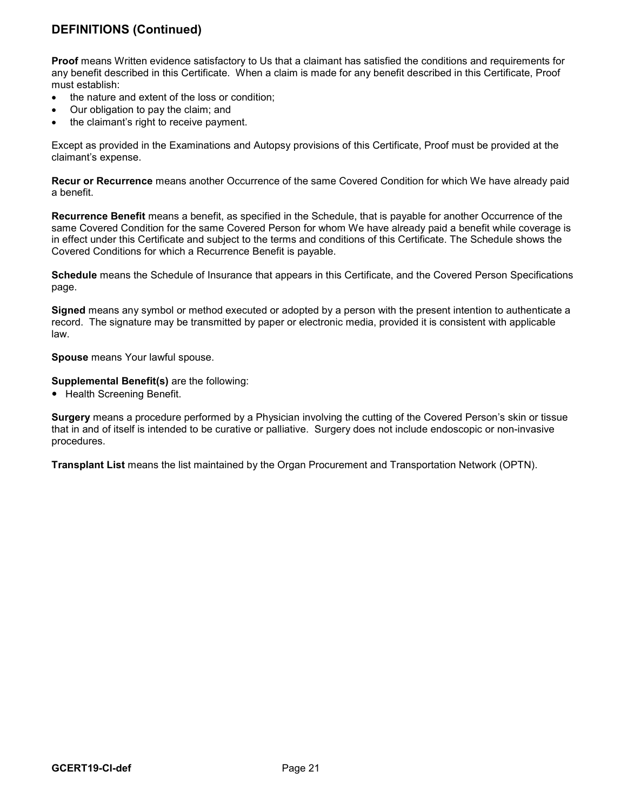**Proof** means Written evidence satisfactory to Us that a claimant has satisfied the conditions and requirements for any benefit described in this Certificate. When a claim is made for any benefit described in this Certificate, Proof must establish:

- the nature and extent of the loss or condition;
- Our obligation to pay the claim; and
- the claimant's right to receive payment.

Except as provided in the Examinations and Autopsy provisions of this Certificate, Proof must be provided at the claimant's expense.

**Recur or Recurrence** means another Occurrence of the same Covered Condition for which We have already paid a benefit.

**Recurrence Benefit** means a benefit, as specified in the Schedule, that is payable for another Occurrence of the same Covered Condition for the same Covered Person for whom We have already paid a benefit while coverage is in effect under this Certificate and subject to the terms and conditions of this Certificate. The Schedule shows the Covered Conditions for which a Recurrence Benefit is payable.

**Schedule** means the Schedule of Insurance that appears in this Certificate, and the Covered Person Specifications page.

**Signed** means any symbol or method executed or adopted by a person with the present intention to authenticate a record. The signature may be transmitted by paper or electronic media, provided it is consistent with applicable law.

**Spouse** means Your lawful spouse.

#### **Supplemental Benefit(s)** are the following:

• Health Screening Benefit.

**Surgery** means a procedure performed by a Physician involving the cutting of the Covered Person's skin or tissue that in and of itself is intended to be curative or palliative. Surgery does not include endoscopic or non-invasive procedures.

**Transplant List** means the list maintained by the Organ Procurement and Transportation Network (OPTN).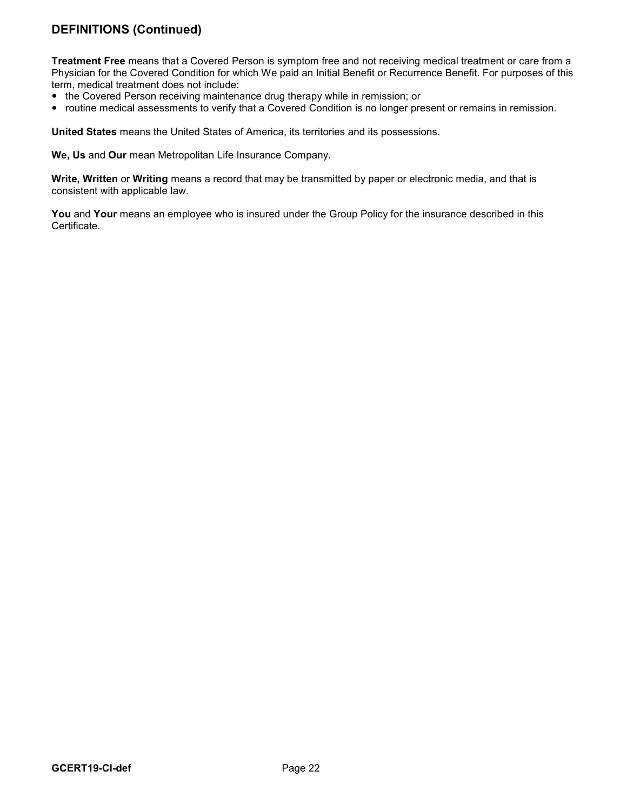**Treatment Free** means that a Covered Person is symptom free and not receiving medical treatment or care from a Physician for the Covered Condition for which We paid an Initial Benefit or Recurrence Benefit. For purposes of this term, medical treatment does not include:

- the Covered Person receiving maintenance drug therapy while in remission; or
- routine medical assessments to verify that a Covered Condition is no longer present or remains in remission.

**United States** means the United States of America, its territories and its possessions.

**We, Us** and **Our** mean Metropolitan Life Insurance Company.

**Write, Written** or **Writing** means a record that may be transmitted by paper or electronic media, and that is consistent with applicable law.

**You** and **Your** means an employee who is insured under the Group Policy for the insurance described in this Certificate.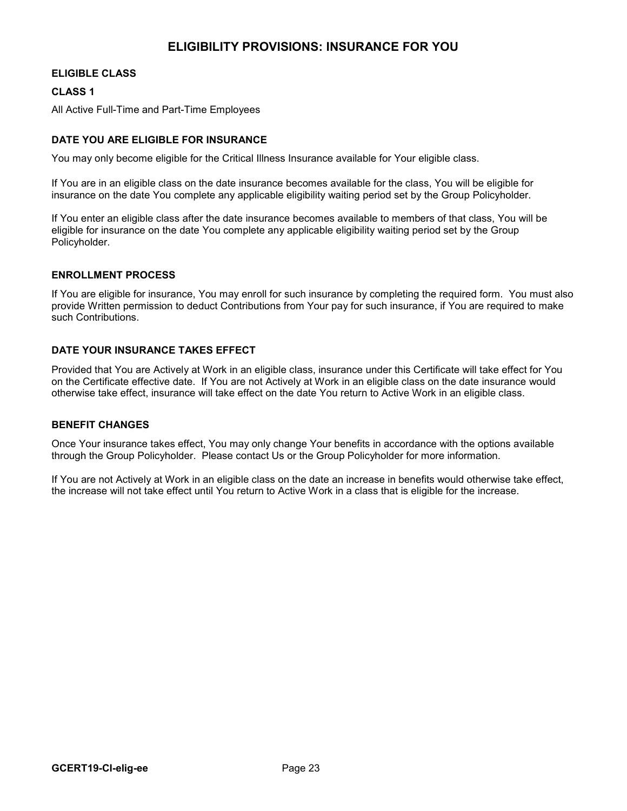# **ELIGIBILITY PROVISIONS: INSURANCE FOR YOU**

#### **ELIGIBLE CLASS**

#### **CLASS 1**

All Active Full-Time and Part-Time Employees

#### **DATE YOU ARE ELIGIBLE FOR INSURANCE**

You may only become eligible for the Critical Illness Insurance available for Your eligible class.

If You are in an eligible class on the date insurance becomes available for the class, You will be eligible for insurance on the date You complete any applicable eligibility waiting period set by the Group Policyholder.

If You enter an eligible class after the date insurance becomes available to members of that class, You will be eligible for insurance on the date You complete any applicable eligibility waiting period set by the Group Policyholder.

#### **ENROLLMENT PROCESS**

If You are eligible for insurance, You may enroll for such insurance by completing the required form. You must also provide Written permission to deduct Contributions from Your pay for such insurance, if You are required to make such Contributions.

#### **DATE YOUR INSURANCE TAKES EFFECT**

Provided that You are Actively at Work in an eligible class, insurance under this Certificate will take effect for You on the Certificate effective date. If You are not Actively at Work in an eligible class on the date insurance would otherwise take effect, insurance will take effect on the date You return to Active Work in an eligible class.

#### **BENEFIT CHANGES**

Once Your insurance takes effect, You may only change Your benefits in accordance with the options available through the Group Policyholder. Please contact Us or the Group Policyholder for more information.

If You are not Actively at Work in an eligible class on the date an increase in benefits would otherwise take effect, the increase will not take effect until You return to Active Work in a class that is eligible for the increase.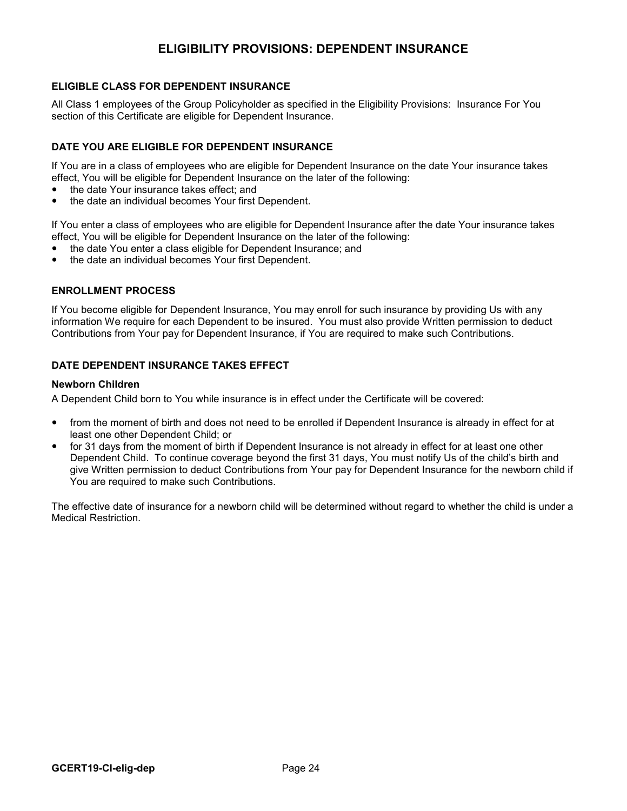# **ELIGIBILITY PROVISIONS: DEPENDENT INSURANCE**

#### **ELIGIBLE CLASS FOR DEPENDENT INSURANCE**

All Class 1 employees of the Group Policyholder as specified in the Eligibility Provisions: Insurance For You section of this Certificate are eligible for Dependent Insurance.

#### **DATE YOU ARE ELIGIBLE FOR DEPENDENT INSURANCE**

If You are in a class of employees who are eligible for Dependent Insurance on the date Your insurance takes effect, You will be eligible for Dependent Insurance on the later of the following:

- the date Your insurance takes effect; and
- the date an individual becomes Your first Dependent.

If You enter a class of employees who are eligible for Dependent Insurance after the date Your insurance takes effect, You will be eligible for Dependent Insurance on the later of the following:

- the date You enter a class eligible for Dependent Insurance; and
- the date an individual becomes Your first Dependent.

#### **ENROLLMENT PROCESS**

If You become eligible for Dependent Insurance, You may enroll for such insurance by providing Us with any information We require for each Dependent to be insured. You must also provide Written permission to deduct Contributions from Your pay for Dependent Insurance, if You are required to make such Contributions.

#### **DATE DEPENDENT INSURANCE TAKES EFFECT**

#### **Newborn Children**

A Dependent Child born to You while insurance is in effect under the Certificate will be covered:

- from the moment of birth and does not need to be enrolled if Dependent Insurance is already in effect for at least one other Dependent Child; or
- for 31 days from the moment of birth if Dependent Insurance is not already in effect for at least one other Dependent Child. To continue coverage beyond the first 31 days, You must notify Us of the child's birth and give Written permission to deduct Contributions from Your pay for Dependent Insurance for the newborn child if You are required to make such Contributions.

The effective date of insurance for a newborn child will be determined without regard to whether the child is under a Medical Restriction.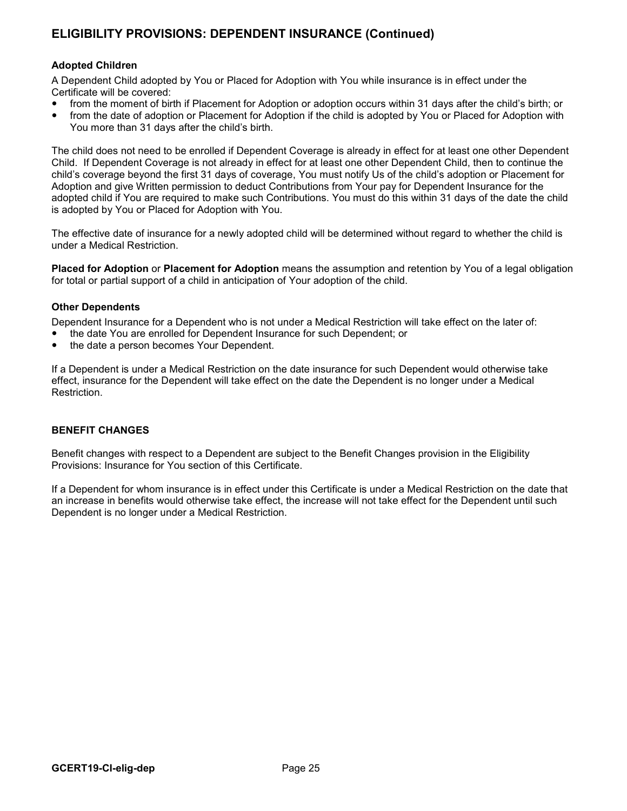# **ELIGIBILITY PROVISIONS: DEPENDENT INSURANCE (Continued)**

#### **Adopted Children**

A Dependent Child adopted by You or Placed for Adoption with You while insurance is in effect under the Certificate will be covered:

- from the moment of birth if Placement for Adoption or adoption occurs within 31 days after the child's birth; or
- from the date of adoption or Placement for Adoption if the child is adopted by You or Placed for Adoption with You more than 31 days after the child's birth.

The child does not need to be enrolled if Dependent Coverage is already in effect for at least one other Dependent Child. If Dependent Coverage is not already in effect for at least one other Dependent Child, then to continue the child's coverage beyond the first 31 days of coverage, You must notify Us of the child's adoption or Placement for Adoption and give Written permission to deduct Contributions from Your pay for Dependent Insurance for the adopted child if You are required to make such Contributions. You must do this within 31 days of the date the child is adopted by You or Placed for Adoption with You.

The effective date of insurance for a newly adopted child will be determined without regard to whether the child is under a Medical Restriction.

**Placed for Adoption** or **Placement for Adoption** means the assumption and retention by You of a legal obligation for total or partial support of a child in anticipation of Your adoption of the child.

#### **Other Dependents**

Dependent Insurance for a Dependent who is not under a Medical Restriction will take effect on the later of:

- the date You are enrolled for Dependent Insurance for such Dependent; or
- the date a person becomes Your Dependent.

If a Dependent is under a Medical Restriction on the date insurance for such Dependent would otherwise take effect, insurance for the Dependent will take effect on the date the Dependent is no longer under a Medical Restriction.

#### **BENEFIT CHANGES**

Benefit changes with respect to a Dependent are subject to the Benefit Changes provision in the Eligibility Provisions: Insurance for You section of this Certificate.

If a Dependent for whom insurance is in effect under this Certificate is under a Medical Restriction on the date that an increase in benefits would otherwise take effect, the increase will not take effect for the Dependent until such Dependent is no longer under a Medical Restriction.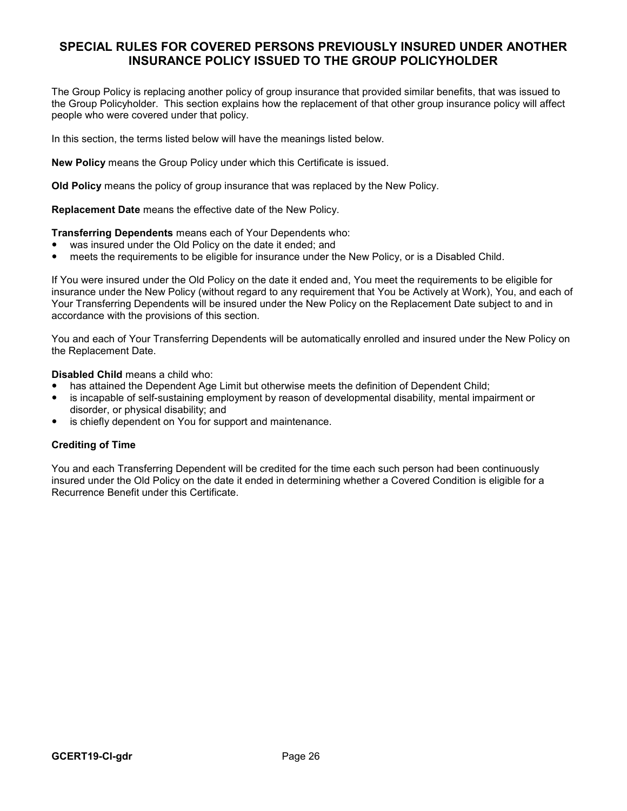# **SPECIAL RULES FOR COVERED PERSONS PREVIOUSLY INSURED UNDER ANOTHER INSURANCE POLICY ISSUED TO THE GROUP POLICYHOLDER**

The Group Policy is replacing another policy of group insurance that provided similar benefits, that was issued to the Group Policyholder. This section explains how the replacement of that other group insurance policy will affect people who were covered under that policy.

In this section, the terms listed below will have the meanings listed below.

**New Policy** means the Group Policy under which this Certificate is issued.

**Old Policy** means the policy of group insurance that was replaced by the New Policy.

**Replacement Date** means the effective date of the New Policy.

#### **Transferring Dependents** means each of Your Dependents who:

- was insured under the Old Policy on the date it ended; and
- meets the requirements to be eligible for insurance under the New Policy, or is a Disabled Child.

If You were insured under the Old Policy on the date it ended and, You meet the requirements to be eligible for insurance under the New Policy (without regard to any requirement that You be Actively at Work), You, and each of Your Transferring Dependents will be insured under the New Policy on the Replacement Date subject to and in accordance with the provisions of this section.

You and each of Your Transferring Dependents will be automatically enrolled and insured under the New Policy on the Replacement Date.

**Disabled Child** means a child who:

- has attained the Dependent Age Limit but otherwise meets the definition of Dependent Child;
- is incapable of self-sustaining employment by reason of developmental disability, mental impairment or disorder, or physical disability; and
- is chiefly dependent on You for support and maintenance.

#### **Crediting of Time**

You and each Transferring Dependent will be credited for the time each such person had been continuously insured under the Old Policy on the date it ended in determining whether a Covered Condition is eligible for a Recurrence Benefit under this Certificate.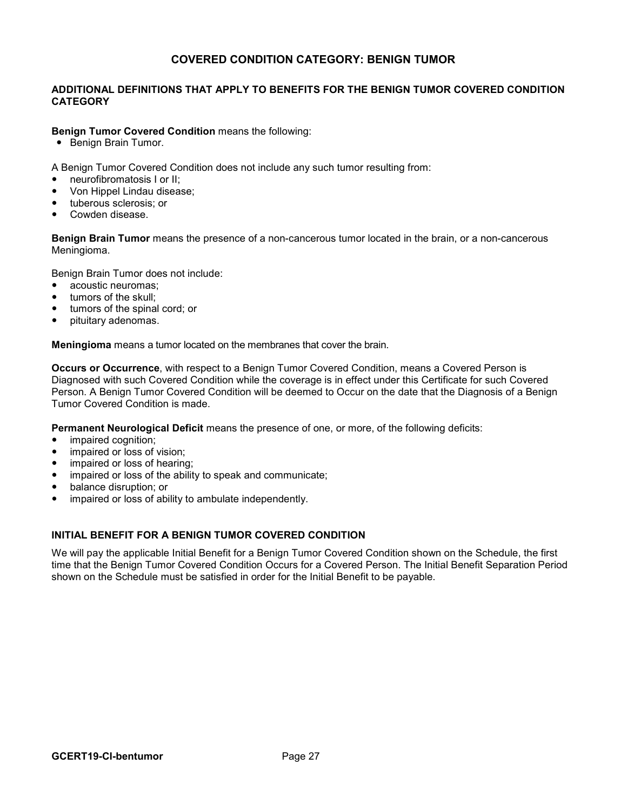### **COVERED CONDITION CATEGORY: BENIGN TUMOR**

#### **ADDITIONAL DEFINITIONS THAT APPLY TO BENEFITS FOR THE BENIGN TUMOR COVERED CONDITION CATEGORY**

#### **Benign Tumor Covered Condition** means the following:

• Benign Brain Tumor.

A Benign Tumor Covered Condition does not include any such tumor resulting from:

- neurofibromatosis I or II;
- Von Hippel Lindau disease;
- tuberous sclerosis; or
- Cowden disease.

**Benign Brain Tumor** means the presence of a non-cancerous tumor located in the brain, or a non-cancerous Meningioma.

Benign Brain Tumor does not include:

- acoustic neuromas;
- tumors of the skull;
- tumors of the spinal cord; or
- pituitary adenomas.

**Meningioma** means a tumor located on the membranes that cover the brain.

**Occurs or Occurrence**, with respect to a Benign Tumor Covered Condition, means a Covered Person is Diagnosed with such Covered Condition while the coverage is in effect under this Certificate for such Covered Person. A Benign Tumor Covered Condition will be deemed to Occur on the date that the Diagnosis of a Benign Tumor Covered Condition is made.

**Permanent Neurological Deficit** means the presence of one, or more, of the following deficits:

- impaired cognition;
- impaired or loss of vision;
- impaired or loss of hearing;
- impaired or loss of the ability to speak and communicate;
- balance disruption; or
- impaired or loss of ability to ambulate independently.

#### **INITIAL BENEFIT FOR A BENIGN TUMOR COVERED CONDITION**

We will pay the applicable Initial Benefit for a Benign Tumor Covered Condition shown on the Schedule, the first time that the Benign Tumor Covered Condition Occurs for a Covered Person. The Initial Benefit Separation Period shown on the Schedule must be satisfied in order for the Initial Benefit to be payable.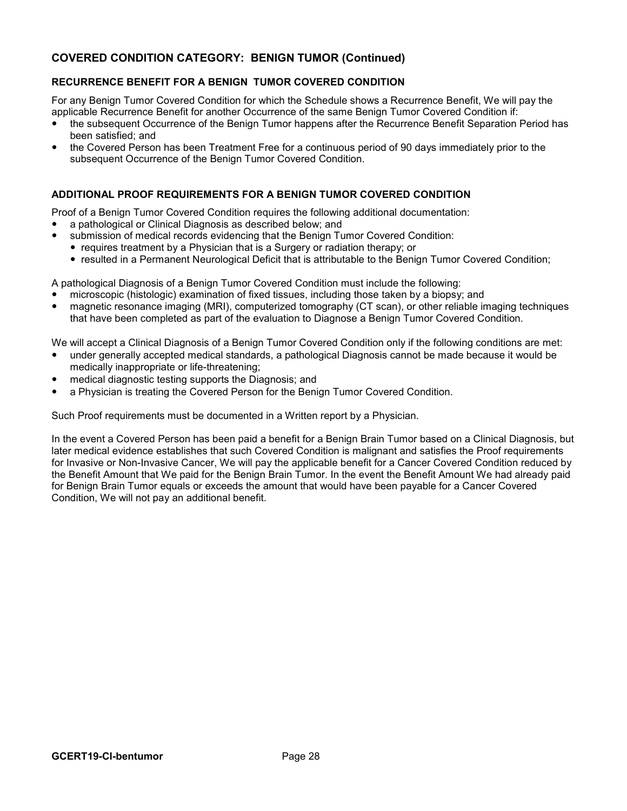# **COVERED CONDITION CATEGORY: BENIGN TUMOR (Continued)**

#### **RECURRENCE BENEFIT FOR A BENIGN TUMOR COVERED CONDITION**

For any Benign Tumor Covered Condition for which the Schedule shows a Recurrence Benefit, We will pay the applicable Recurrence Benefit for another Occurrence of the same Benign Tumor Covered Condition if:

- the subsequent Occurrence of the Benign Tumor happens after the Recurrence Benefit Separation Period has been satisfied; and
- the Covered Person has been Treatment Free for a continuous period of 90 days immediately prior to the subsequent Occurrence of the Benign Tumor Covered Condition.

#### **ADDITIONAL PROOF REQUIREMENTS FOR A BENIGN TUMOR COVERED CONDITION**

Proof of a Benign Tumor Covered Condition requires the following additional documentation:

- a pathological or Clinical Diagnosis as described below; and
- submission of medical records evidencing that the Benign Tumor Covered Condition:
	- requires treatment by a Physician that is a Surgery or radiation therapy; or
	- resulted in a Permanent Neurological Deficit that is attributable to the Benign Tumor Covered Condition;

A pathological Diagnosis of a Benign Tumor Covered Condition must include the following:

- microscopic (histologic) examination of fixed tissues, including those taken by a biopsy; and
- magnetic resonance imaging (MRI), computerized tomography (CT scan), or other reliable imaging techniques that have been completed as part of the evaluation to Diagnose a Benign Tumor Covered Condition.

We will accept a Clinical Diagnosis of a Benign Tumor Covered Condition only if the following conditions are met:

- under generally accepted medical standards, a pathological Diagnosis cannot be made because it would be medically inappropriate or life-threatening;
- medical diagnostic testing supports the Diagnosis; and
- a Physician is treating the Covered Person for the Benign Tumor Covered Condition.

Such Proof requirements must be documented in a Written report by a Physician.

In the event a Covered Person has been paid a benefit for a Benign Brain Tumor based on a Clinical Diagnosis, but later medical evidence establishes that such Covered Condition is malignant and satisfies the Proof requirements for Invasive or Non-Invasive Cancer, We will pay the applicable benefit for a Cancer Covered Condition reduced by the Benefit Amount that We paid for the Benign Brain Tumor. In the event the Benefit Amount We had already paid for Benign Brain Tumor equals or exceeds the amount that would have been payable for a Cancer Covered Condition, We will not pay an additional benefit.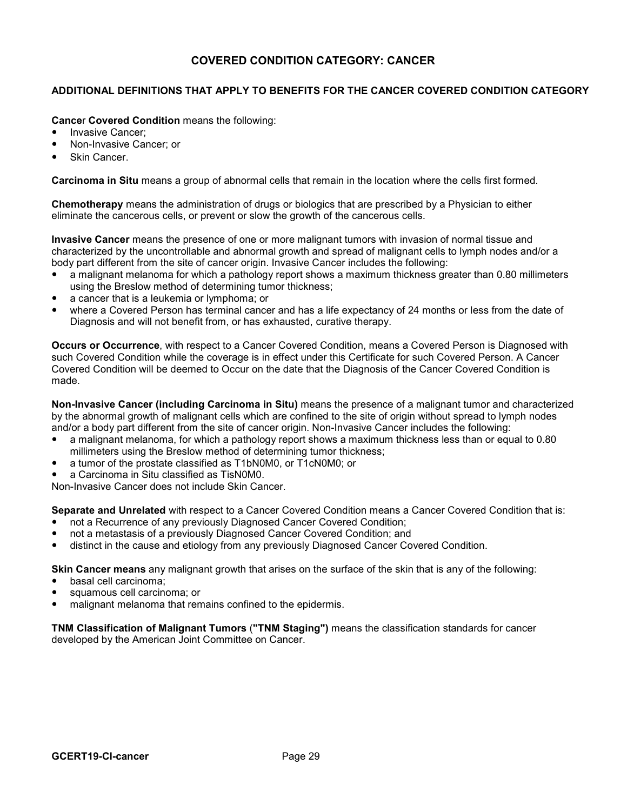### **COVERED CONDITION CATEGORY: CANCER**

#### **ADDITIONAL DEFINITIONS THAT APPLY TO BENEFITS FOR THE CANCER COVERED CONDITION CATEGORY**

#### **Cance**r **Covered Condition** means the following:

- Invasive Cancer;
- Non-Invasive Cancer; or
- Skin Cancer.

**Carcinoma in Situ** means a group of abnormal cells that remain in the location where the cells first formed.

**Chemotherapy** means the administration of drugs or biologics that are prescribed by a Physician to either eliminate the cancerous cells, or prevent or slow the growth of the cancerous cells.

**Invasive Cancer** means the presence of one or more malignant tumors with invasion of normal tissue and characterized by the uncontrollable and abnormal growth and spread of malignant cells to lymph nodes and/or a body part different from the site of cancer origin. Invasive Cancer includes the following:

- a malignant melanoma for which a pathology report shows a maximum thickness greater than 0.80 millimeters using the Breslow method of determining tumor thickness;
- a cancer that is a leukemia or lymphoma; or
- where a Covered Person has terminal cancer and has a life expectancy of 24 months or less from the date of Diagnosis and will not benefit from, or has exhausted, curative therapy.

**Occurs or Occurrence**, with respect to a Cancer Covered Condition, means a Covered Person is Diagnosed with such Covered Condition while the coverage is in effect under this Certificate for such Covered Person. A Cancer Covered Condition will be deemed to Occur on the date that the Diagnosis of the Cancer Covered Condition is made.

**Non-Invasive Cancer (including Carcinoma in Situ)** means the presence of a malignant tumor and characterized by the abnormal growth of malignant cells which are confined to the site of origin without spread to lymph nodes and/or a body part different from the site of cancer origin. Non-Invasive Cancer includes the following:

- a malignant melanoma, for which a pathology report shows a maximum thickness less than or equal to 0.80 millimeters using the Breslow method of determining tumor thickness;
- a tumor of the prostate classified as T1bN0M0, or T1cN0M0; or
- a Carcinoma in Situ classified as TisN0M0.

Non-Invasive Cancer does not include Skin Cancer.

**Separate and Unrelated** with respect to a Cancer Covered Condition means a Cancer Covered Condition that is:

- not a Recurrence of any previously Diagnosed Cancer Covered Condition;
- not a metastasis of a previously Diagnosed Cancer Covered Condition; and
- distinct in the cause and etiology from any previously Diagnosed Cancer Covered Condition.

**Skin Cancer means** any malignant growth that arises on the surface of the skin that is any of the following:

- basal cell carcinoma;
- squamous cell carcinoma; or
- malignant melanoma that remains confined to the epidermis.

**TNM Classification of Malignant Tumors** (**"TNM Staging")** means the classification standards for cancer developed by the American Joint Committee on Cancer.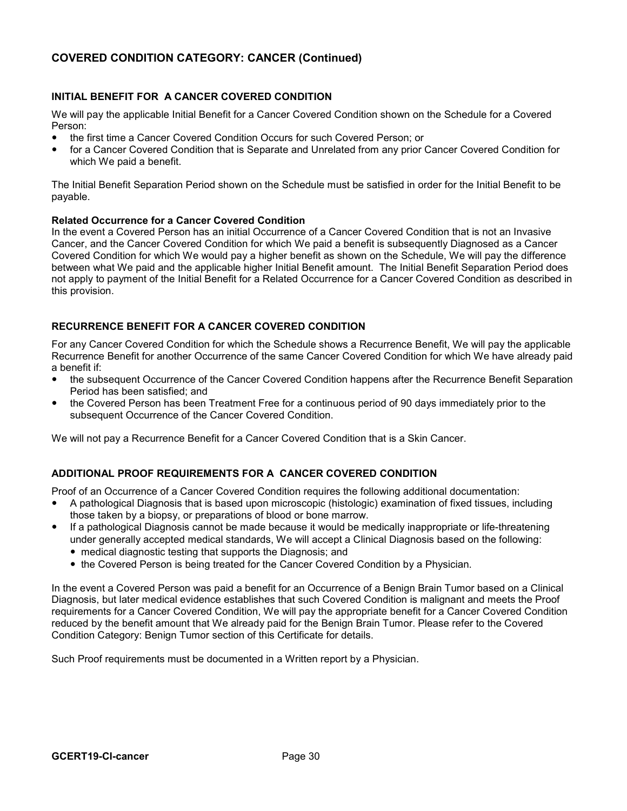# **COVERED CONDITION CATEGORY: CANCER (Continued)**

#### **INITIAL BENEFIT FOR A CANCER COVERED CONDITION**

We will pay the applicable Initial Benefit for a Cancer Covered Condition shown on the Schedule for a Covered Person:

- the first time a Cancer Covered Condition Occurs for such Covered Person; or
- for a Cancer Covered Condition that is Separate and Unrelated from any prior Cancer Covered Condition for which We paid a benefit.

The Initial Benefit Separation Period shown on the Schedule must be satisfied in order for the Initial Benefit to be payable.

#### **Related Occurrence for a Cancer Covered Condition**

In the event a Covered Person has an initial Occurrence of a Cancer Covered Condition that is not an Invasive Cancer, and the Cancer Covered Condition for which We paid a benefit is subsequently Diagnosed as a Cancer Covered Condition for which We would pay a higher benefit as shown on the Schedule, We will pay the difference between what We paid and the applicable higher Initial Benefit amount. The Initial Benefit Separation Period does not apply to payment of the Initial Benefit for a Related Occurrence for a Cancer Covered Condition as described in this provision.

#### **RECURRENCE BENEFIT FOR A CANCER COVERED CONDITION**

For any Cancer Covered Condition for which the Schedule shows a Recurrence Benefit, We will pay the applicable Recurrence Benefit for another Occurrence of the same Cancer Covered Condition for which We have already paid a benefit if:

- the subsequent Occurrence of the Cancer Covered Condition happens after the Recurrence Benefit Separation Period has been satisfied; and
- the Covered Person has been Treatment Free for a continuous period of 90 days immediately prior to the subsequent Occurrence of the Cancer Covered Condition.

We will not pay a Recurrence Benefit for a Cancer Covered Condition that is a Skin Cancer.

#### **ADDITIONAL PROOF REQUIREMENTS FOR A CANCER COVERED CONDITION**

Proof of an Occurrence of a Cancer Covered Condition requires the following additional documentation:

- A pathological Diagnosis that is based upon microscopic (histologic) examination of fixed tissues, including those taken by a biopsy, or preparations of blood or bone marrow.
- If a pathological Diagnosis cannot be made because it would be medically inappropriate or life-threatening under generally accepted medical standards, We will accept a Clinical Diagnosis based on the following:
	- medical diagnostic testing that supports the Diagnosis; and
	- the Covered Person is being treated for the Cancer Covered Condition by a Physician.

In the event a Covered Person was paid a benefit for an Occurrence of a Benign Brain Tumor based on a Clinical Diagnosis, but later medical evidence establishes that such Covered Condition is malignant and meets the Proof requirements for a Cancer Covered Condition, We will pay the appropriate benefit for a Cancer Covered Condition reduced by the benefit amount that We already paid for the Benign Brain Tumor. Please refer to the Covered Condition Category: Benign Tumor section of this Certificate for details.

Such Proof requirements must be documented in a Written report by a Physician.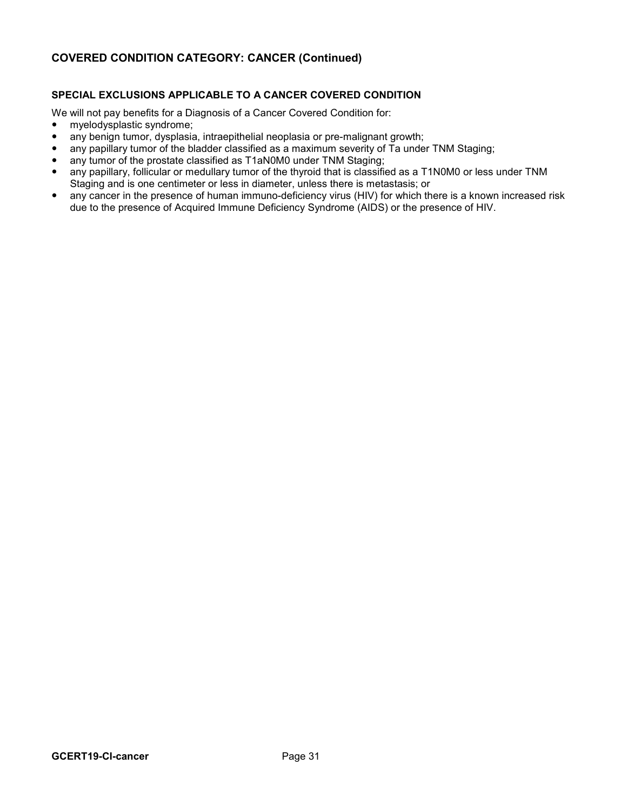# **COVERED CONDITION CATEGORY: CANCER (Continued)**

#### **SPECIAL EXCLUSIONS APPLICABLE TO A CANCER COVERED CONDITION**

We will not pay benefits for a Diagnosis of a Cancer Covered Condition for:

- myelodysplastic syndrome;
- any benign tumor, dysplasia, intraepithelial neoplasia or pre-malignant growth;
- any papillary tumor of the bladder classified as a maximum severity of Ta under TNM Staging;
- any tumor of the prostate classified as T1aN0M0 under TNM Staging;
- any papillary, follicular or medullary tumor of the thyroid that is classified as a T1N0M0 or less under TNM Staging and is one centimeter or less in diameter, unless there is metastasis; or
- any cancer in the presence of human immuno-deficiency virus (HIV) for which there is a known increased risk due to the presence of Acquired Immune Deficiency Syndrome (AIDS) or the presence of HIV.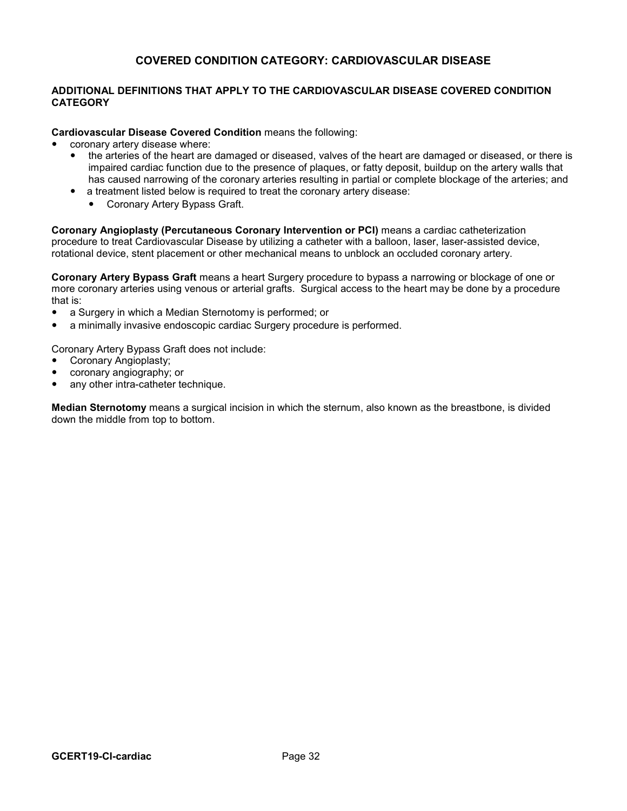### **COVERED CONDITION CATEGORY: CARDIOVASCULAR DISEASE**

#### **ADDITIONAL DEFINITIONS THAT APPLY TO THE CARDIOVASCULAR DISEASE COVERED CONDITION CATEGORY**

#### **Cardiovascular Disease Covered Condition** means the following:

- coronary artery disease where:
	- the arteries of the heart are damaged or diseased, valves of the heart are damaged or diseased, or there is impaired cardiac function due to the presence of plaques, or fatty deposit, buildup on the artery walls that has caused narrowing of the coronary arteries resulting in partial or complete blockage of the arteries; and
	- a treatment listed below is required to treat the coronary artery disease:
		- Coronary Artery Bypass Graft.

**Coronary Angioplasty (Percutaneous Coronary Intervention or PCI)** means a cardiac catheterization procedure to treat Cardiovascular Disease by utilizing a catheter with a balloon, laser, laser-assisted device, rotational device, stent placement or other mechanical means to unblock an occluded coronary artery.

**Coronary Artery Bypass Graft** means a heart Surgery procedure to bypass a narrowing or blockage of one or more coronary arteries using venous or arterial grafts. Surgical access to the heart may be done by a procedure that is:

- a Surgery in which a Median Sternotomy is performed; or
- a minimally invasive endoscopic cardiac Surgery procedure is performed.

Coronary Artery Bypass Graft does not include:

- Coronary Angioplasty;
- coronary angiography; or
- any other intra-catheter technique.

**Median Sternotomy** means a surgical incision in which the sternum, also known as the breastbone, is divided down the middle from top to bottom.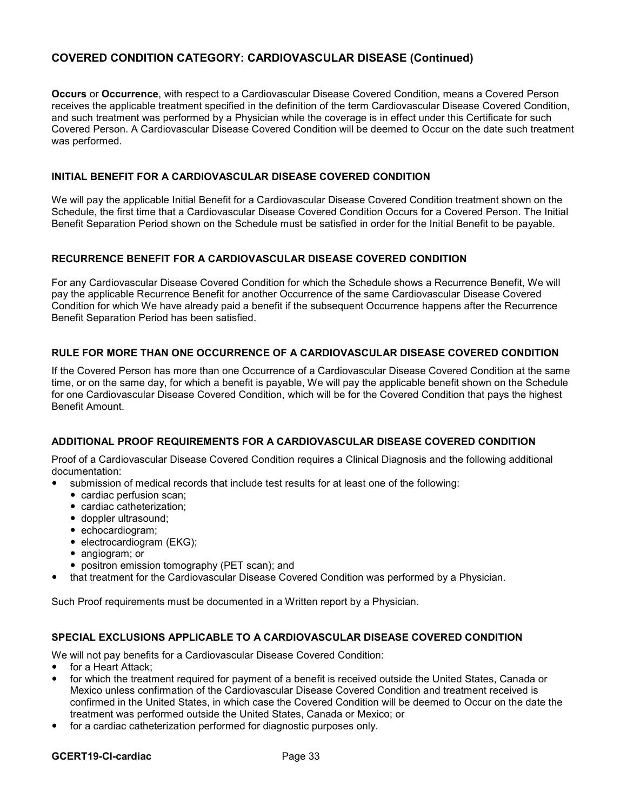# **COVERED CONDITION CATEGORY: CARDIOVASCULAR DISEASE (Continued)**

**Occurs** or **Occurrence**, with respect to a Cardiovascular Disease Covered Condition, means a Covered Person receives the applicable treatment specified in the definition of the term Cardiovascular Disease Covered Condition, and such treatment was performed by a Physician while the coverage is in effect under this Certificate for such Covered Person. A Cardiovascular Disease Covered Condition will be deemed to Occur on the date such treatment was performed.

#### **INITIAL BENEFIT FOR A CARDIOVASCULAR DISEASE COVERED CONDITION**

We will pay the applicable Initial Benefit for a Cardiovascular Disease Covered Condition treatment shown on the Schedule, the first time that a Cardiovascular Disease Covered Condition Occurs for a Covered Person. The Initial Benefit Separation Period shown on the Schedule must be satisfied in order for the Initial Benefit to be payable.

#### **RECURRENCE BENEFIT FOR A CARDIOVASCULAR DISEASE COVERED CONDITION**

For any Cardiovascular Disease Covered Condition for which the Schedule shows a Recurrence Benefit, We will pay the applicable Recurrence Benefit for another Occurrence of the same Cardiovascular Disease Covered Condition for which We have already paid a benefit if the subsequent Occurrence happens after the Recurrence Benefit Separation Period has been satisfied.

#### **RULE FOR MORE THAN ONE OCCURRENCE OF A CARDIOVASCULAR DISEASE COVERED CONDITION**

If the Covered Person has more than one Occurrence of a Cardiovascular Disease Covered Condition at the same time, or on the same day, for which a benefit is payable, We will pay the applicable benefit shown on the Schedule for one Cardiovascular Disease Covered Condition, which will be for the Covered Condition that pays the highest Benefit Amount.

#### **ADDITIONAL PROOF REQUIREMENTS FOR A CARDIOVASCULAR DISEASE COVERED CONDITION**

Proof of a Cardiovascular Disease Covered Condition requires a Clinical Diagnosis and the following additional documentation:

- submission of medical records that include test results for at least one of the following:
	- cardiac perfusion scan:
	- cardiac catheterization;
	- doppler ultrasound;
	- echocardiogram;
	- electrocardiogram (EKG);
	- angiogram; or
	- positron emission tomography (PET scan); and
- that treatment for the Cardiovascular Disease Covered Condition was performed by a Physician.

Such Proof requirements must be documented in a Written report by a Physician.

#### **SPECIAL EXCLUSIONS APPLICABLE TO A CARDIOVASCULAR DISEASE COVERED CONDITION**

We will not pay benefits for a Cardiovascular Disease Covered Condition:

- for a Heart Attack;
- for which the treatment required for payment of a benefit is received outside the United States, Canada or Mexico unless confirmation of the Cardiovascular Disease Covered Condition and treatment received is confirmed in the United States, in which case the Covered Condition will be deemed to Occur on the date the treatment was performed outside the United States, Canada or Mexico; or
- for a cardiac catheterization performed for diagnostic purposes only.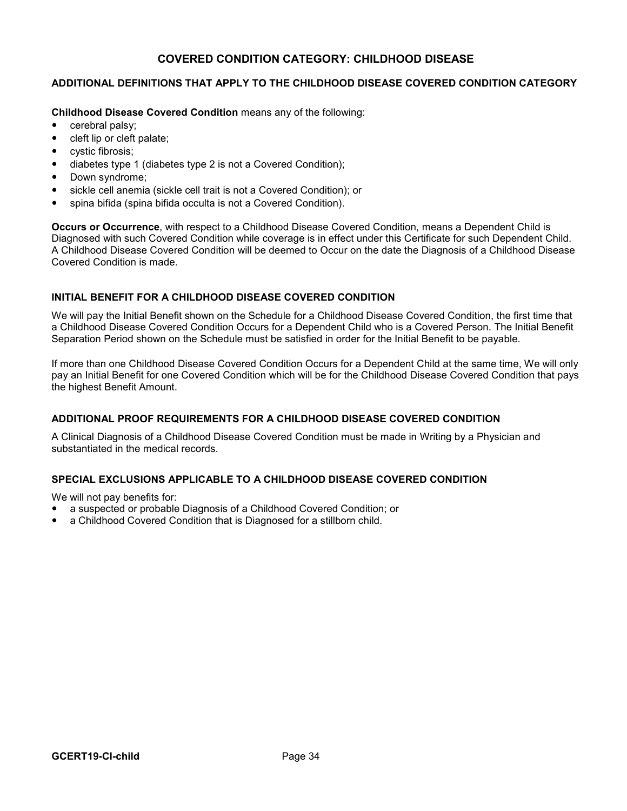### **COVERED CONDITION CATEGORY: CHILDHOOD DISEASE**

#### **ADDITIONAL DEFINITIONS THAT APPLY TO THE CHILDHOOD DISEASE COVERED CONDITION CATEGORY**

**Childhood Disease Covered Condition** means any of the following:

- cerebral palsy;
- cleft lip or cleft palate;
- cystic fibrosis;
- diabetes type 1 (diabetes type 2 is not a Covered Condition);
- Down syndrome;
- sickle cell anemia (sickle cell trait is not a Covered Condition); or
- spina bifida (spina bifida occulta is not a Covered Condition).

**Occurs or Occurrence**, with respect to a Childhood Disease Covered Condition, means a Dependent Child is Diagnosed with such Covered Condition while coverage is in effect under this Certificate for such Dependent Child. A Childhood Disease Covered Condition will be deemed to Occur on the date the Diagnosis of a Childhood Disease Covered Condition is made.

#### **INITIAL BENEFIT FOR A CHILDHOOD DISEASE COVERED CONDITION**

We will pay the Initial Benefit shown on the Schedule for a Childhood Disease Covered Condition, the first time that a Childhood Disease Covered Condition Occurs for a Dependent Child who is a Covered Person. The Initial Benefit Separation Period shown on the Schedule must be satisfied in order for the Initial Benefit to be payable.

If more than one Childhood Disease Covered Condition Occurs for a Dependent Child at the same time, We will only pay an Initial Benefit for one Covered Condition which will be for the Childhood Disease Covered Condition that pays the highest Benefit Amount.

#### **ADDITIONAL PROOF REQUIREMENTS FOR A CHILDHOOD DISEASE COVERED CONDITION**

A Clinical Diagnosis of a Childhood Disease Covered Condition must be made in Writing by a Physician and substantiated in the medical records.

#### **SPECIAL EXCLUSIONS APPLICABLE TO A CHILDHOOD DISEASE COVERED CONDITION**

We will not pay benefits for:

- a suspected or probable Diagnosis of a Childhood Covered Condition; or
- a Childhood Covered Condition that is Diagnosed for a stillborn child.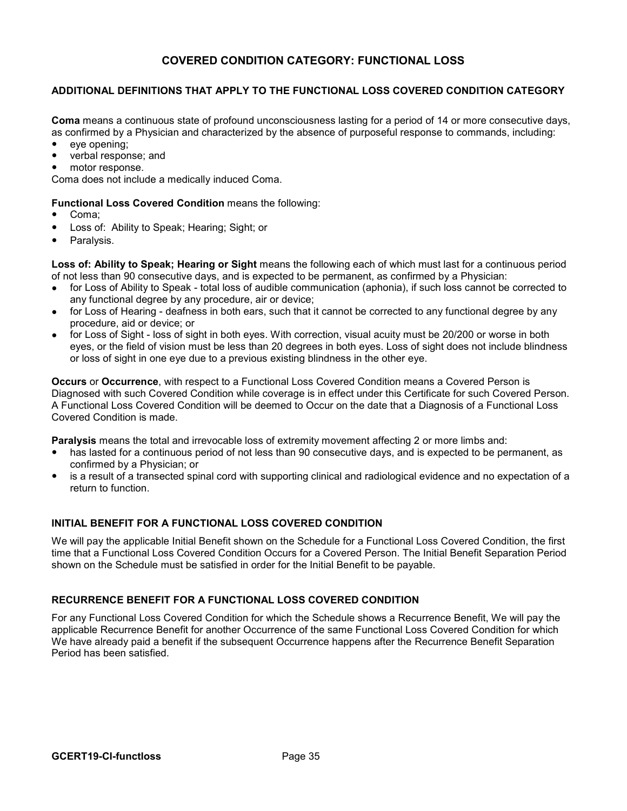### **COVERED CONDITION CATEGORY: FUNCTIONAL LOSS**

#### **ADDITIONAL DEFINITIONS THAT APPLY TO THE FUNCTIONAL LOSS COVERED CONDITION CATEGORY**

**Coma** means a continuous state of profound unconsciousness lasting for a period of 14 or more consecutive days, as confirmed by a Physician and characterized by the absence of purposeful response to commands, including:

- eye opening;
- verbal response; and
- motor response.

Coma does not include a medically induced Coma.

#### **Functional Loss Covered Condition** means the following:

- Coma;
- Loss of: Ability to Speak; Hearing; Sight; or
- Paralysis.

**Loss of: Ability to Speak; Hearing or Sight** means the following each of which must last for a continuous period of not less than 90 consecutive days, and is expected to be permanent, as confirmed by a Physician:

- for Loss of Ability to Speak total loss of audible communication (aphonia), if such loss cannot be corrected to any functional degree by any procedure, air or device;
- for Loss of Hearing deafness in both ears, such that it cannot be corrected to any functional degree by any procedure, aid or device; or
- for Loss of Sight loss of sight in both eyes. With correction, visual acuity must be 20/200 or worse in both eyes, or the field of vision must be less than 20 degrees in both eyes. Loss of sight does not include blindness or loss of sight in one eye due to a previous existing blindness in the other eye.

**Occurs** or **Occurrence**, with respect to a Functional Loss Covered Condition means a Covered Person is Diagnosed with such Covered Condition while coverage is in effect under this Certificate for such Covered Person. A Functional Loss Covered Condition will be deemed to Occur on the date that a Diagnosis of a Functional Loss Covered Condition is made.

**Paralysis** means the total and irrevocable loss of extremity movement affecting 2 or more limbs and:

- has lasted for a continuous period of not less than 90 consecutive days, and is expected to be permanent, as confirmed by a Physician; or
- is a result of a transected spinal cord with supporting clinical and radiological evidence and no expectation of a return to function.

#### **INITIAL BENEFIT FOR A FUNCTIONAL LOSS COVERED CONDITION**

We will pay the applicable Initial Benefit shown on the Schedule for a Functional Loss Covered Condition, the first time that a Functional Loss Covered Condition Occurs for a Covered Person. The Initial Benefit Separation Period shown on the Schedule must be satisfied in order for the Initial Benefit to be payable.

#### **RECURRENCE BENEFIT FOR A FUNCTIONAL LOSS COVERED CONDITION**

For any Functional Loss Covered Condition for which the Schedule shows a Recurrence Benefit, We will pay the applicable Recurrence Benefit for another Occurrence of the same Functional Loss Covered Condition for which We have already paid a benefit if the subsequent Occurrence happens after the Recurrence Benefit Separation Period has been satisfied.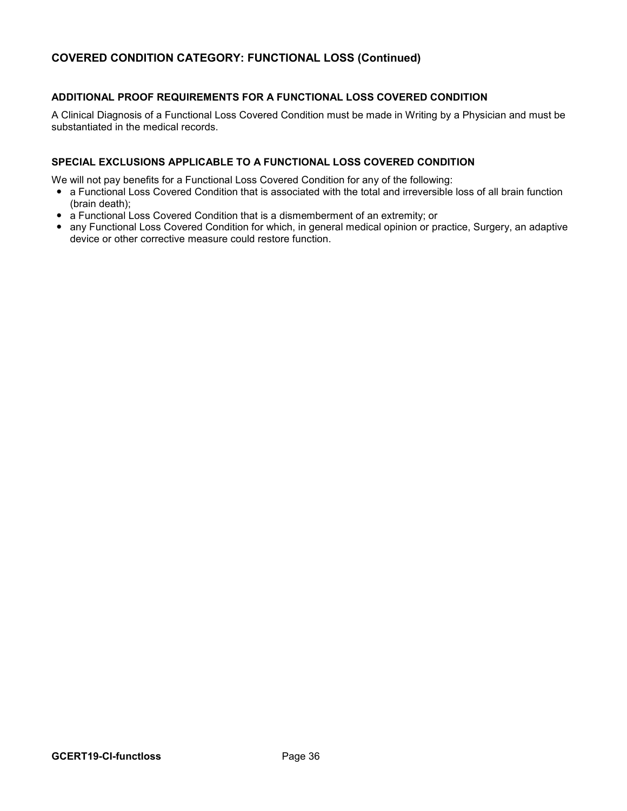# **COVERED CONDITION CATEGORY: FUNCTIONAL LOSS (Continued)**

#### **ADDITIONAL PROOF REQUIREMENTS FOR A FUNCTIONAL LOSS COVERED CONDITION**

A Clinical Diagnosis of a Functional Loss Covered Condition must be made in Writing by a Physician and must be substantiated in the medical records.

#### **SPECIAL EXCLUSIONS APPLICABLE TO A FUNCTIONAL LOSS COVERED CONDITION**

We will not pay benefits for a Functional Loss Covered Condition for any of the following:

- a Functional Loss Covered Condition that is associated with the total and irreversible loss of all brain function (brain death);
- a Functional Loss Covered Condition that is a dismemberment of an extremity; or
- any Functional Loss Covered Condition for which, in general medical opinion or practice, Surgery, an adaptive device or other corrective measure could restore function.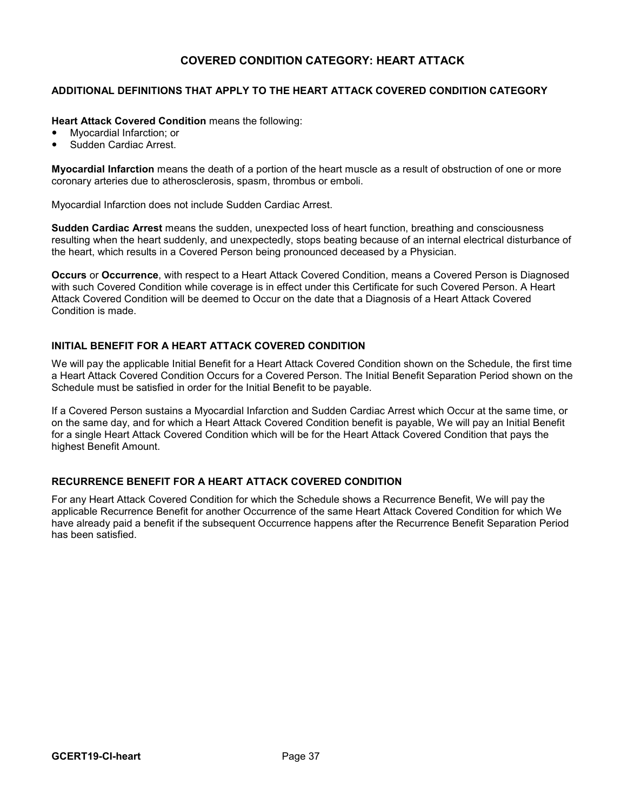### **COVERED CONDITION CATEGORY: HEART ATTACK**

#### **ADDITIONAL DEFINITIONS THAT APPLY TO THE HEART ATTACK COVERED CONDITION CATEGORY**

#### **Heart Attack Covered Condition** means the following:

- Myocardial Infarction; or
- Sudden Cardiac Arrest.

**Myocardial Infarction** means the death of a portion of the heart muscle as a result of obstruction of one or more coronary arteries due to atherosclerosis, spasm, thrombus or emboli.

Myocardial Infarction does not include Sudden Cardiac Arrest.

**Sudden Cardiac Arrest** means the sudden, unexpected loss of heart function, breathing and consciousness resulting when the heart suddenly, and unexpectedly, stops beating because of an internal electrical disturbance of the heart, which results in a Covered Person being pronounced deceased by a Physician.

**Occurs** or **Occurrence**, with respect to a Heart Attack Covered Condition, means a Covered Person is Diagnosed with such Covered Condition while coverage is in effect under this Certificate for such Covered Person. A Heart Attack Covered Condition will be deemed to Occur on the date that a Diagnosis of a Heart Attack Covered Condition is made.

#### **INITIAL BENEFIT FOR A HEART ATTACK COVERED CONDITION**

We will pay the applicable Initial Benefit for a Heart Attack Covered Condition shown on the Schedule, the first time a Heart Attack Covered Condition Occurs for a Covered Person. The Initial Benefit Separation Period shown on the Schedule must be satisfied in order for the Initial Benefit to be payable.

If a Covered Person sustains a Myocardial Infarction and Sudden Cardiac Arrest which Occur at the same time, or on the same day, and for which a Heart Attack Covered Condition benefit is payable, We will pay an Initial Benefit for a single Heart Attack Covered Condition which will be for the Heart Attack Covered Condition that pays the highest Benefit Amount.

#### **RECURRENCE BENEFIT FOR A HEART ATTACK COVERED CONDITION**

For any Heart Attack Covered Condition for which the Schedule shows a Recurrence Benefit, We will pay the applicable Recurrence Benefit for another Occurrence of the same Heart Attack Covered Condition for which We have already paid a benefit if the subsequent Occurrence happens after the Recurrence Benefit Separation Period has been satisfied.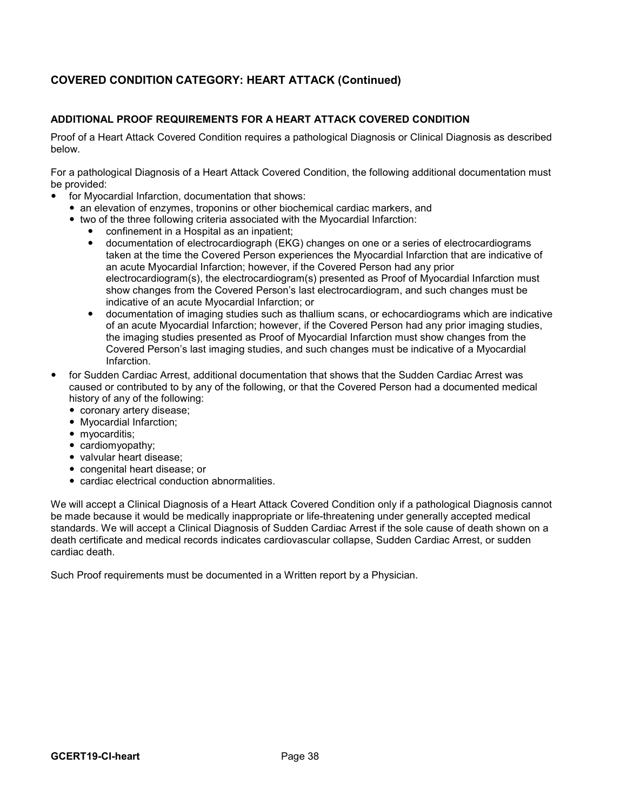# **COVERED CONDITION CATEGORY: HEART ATTACK (Continued)**

### **ADDITIONAL PROOF REQUIREMENTS FOR A HEART ATTACK COVERED CONDITION**

Proof of a Heart Attack Covered Condition requires a pathological Diagnosis or Clinical Diagnosis as described below.

For a pathological Diagnosis of a Heart Attack Covered Condition, the following additional documentation must be provided:

- for Myocardial Infarction, documentation that shows:
- an elevation of enzymes, troponins or other biochemical cardiac markers, and
- two of the three following criteria associated with the Myocardial Infarction:
	- confinement in a Hospital as an inpatient;
	- documentation of electrocardiograph (EKG) changes on one or a series of electrocardiograms taken at the time the Covered Person experiences the Myocardial Infarction that are indicative of an acute Myocardial Infarction; however, if the Covered Person had any prior electrocardiogram(s), the electrocardiogram(s) presented as Proof of Myocardial Infarction must show changes from the Covered Person's last electrocardiogram, and such changes must be indicative of an acute Myocardial Infarction; or
	- documentation of imaging studies such as thallium scans, or echocardiograms which are indicative of an acute Myocardial Infarction; however, if the Covered Person had any prior imaging studies, the imaging studies presented as Proof of Myocardial Infarction must show changes from the Covered Person's last imaging studies, and such changes must be indicative of a Myocardial Infarction.
- for Sudden Cardiac Arrest, additional documentation that shows that the Sudden Cardiac Arrest was caused or contributed to by any of the following, or that the Covered Person had a documented medical history of any of the following:
	- coronary artery disease;
	- Myocardial Infarction;
	- myocarditis;
	- cardiomyopathy;
	- valvular heart disease:
	- congenital heart disease; or
	- cardiac electrical conduction abnormalities.

We will accept a Clinical Diagnosis of a Heart Attack Covered Condition only if a pathological Diagnosis cannot be made because it would be medically inappropriate or life-threatening under generally accepted medical standards. We will accept a Clinical Diagnosis of Sudden Cardiac Arrest if the sole cause of death shown on a death certificate and medical records indicates cardiovascular collapse, Sudden Cardiac Arrest, or sudden cardiac death.

Such Proof requirements must be documented in a Written report by a Physician.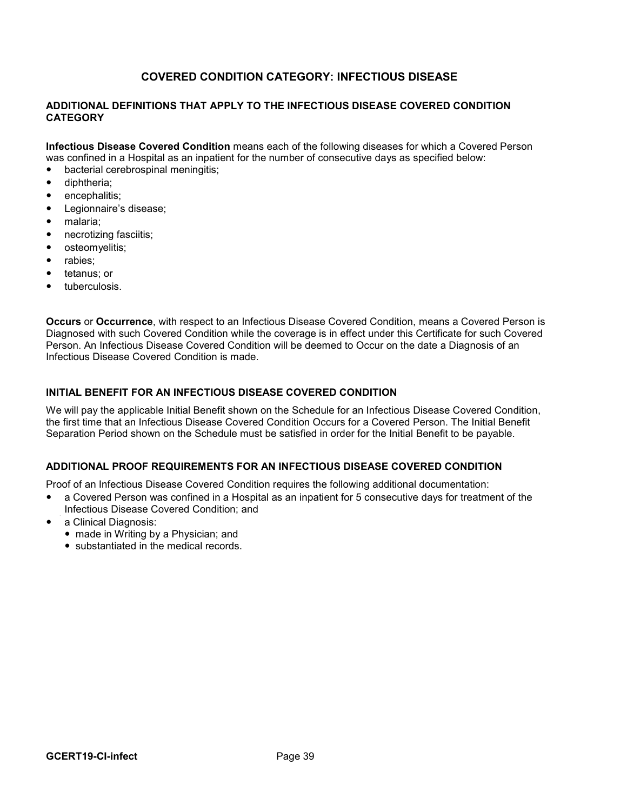### **COVERED CONDITION CATEGORY: INFECTIOUS DISEASE**

#### **ADDITIONAL DEFINITIONS THAT APPLY TO THE INFECTIOUS DISEASE COVERED CONDITION CATEGORY**

**Infectious Disease Covered Condition** means each of the following diseases for which a Covered Person was confined in a Hospital as an inpatient for the number of consecutive days as specified below:

- bacterial cerebrospinal meningitis;
- diphtheria;
- encephalitis;
- Legionnaire's disease;
- malaria:
- necrotizing fasciitis;
- osteomyelitis;
- rabies;
- tetanus; or
- tuberculosis.

**Occurs** or **Occurrence**, with respect to an Infectious Disease Covered Condition, means a Covered Person is Diagnosed with such Covered Condition while the coverage is in effect under this Certificate for such Covered Person. An Infectious Disease Covered Condition will be deemed to Occur on the date a Diagnosis of an Infectious Disease Covered Condition is made.

#### **INITIAL BENEFIT FOR AN INFECTIOUS DISEASE COVERED CONDITION**

We will pay the applicable Initial Benefit shown on the Schedule for an Infectious Disease Covered Condition, the first time that an Infectious Disease Covered Condition Occurs for a Covered Person. The Initial Benefit Separation Period shown on the Schedule must be satisfied in order for the Initial Benefit to be payable.

#### **ADDITIONAL PROOF REQUIREMENTS FOR AN INFECTIOUS DISEASE COVERED CONDITION**

Proof of an Infectious Disease Covered Condition requires the following additional documentation:

- a Covered Person was confined in a Hospital as an inpatient for 5 consecutive days for treatment of the Infectious Disease Covered Condition; and
- a Clinical Diagnosis:
	- made in Writing by a Physician; and
	- substantiated in the medical records.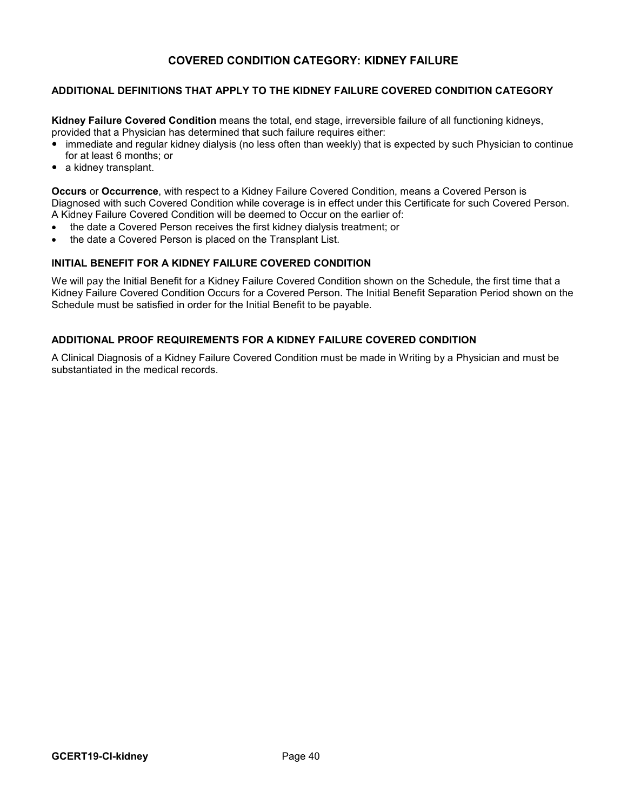### **COVERED CONDITION CATEGORY: KIDNEY FAILURE**

#### **ADDITIONAL DEFINITIONS THAT APPLY TO THE KIDNEY FAILURE COVERED CONDITION CATEGORY**

**Kidney Failure Covered Condition** means the total, end stage, irreversible failure of all functioning kidneys, provided that a Physician has determined that such failure requires either:

- immediate and regular kidney dialysis (no less often than weekly) that is expected by such Physician to continue for at least 6 months; or
- a kidney transplant.

**Occurs** or **Occurrence**, with respect to a Kidney Failure Covered Condition, means a Covered Person is Diagnosed with such Covered Condition while coverage is in effect under this Certificate for such Covered Person. A Kidney Failure Covered Condition will be deemed to Occur on the earlier of:

- the date a Covered Person receives the first kidney dialysis treatment; or
- the date a Covered Person is placed on the Transplant List.

#### **INITIAL BENEFIT FOR A KIDNEY FAILURE COVERED CONDITION**

We will pay the Initial Benefit for a Kidney Failure Covered Condition shown on the Schedule, the first time that a Kidney Failure Covered Condition Occurs for a Covered Person. The Initial Benefit Separation Period shown on the Schedule must be satisfied in order for the Initial Benefit to be payable.

#### **ADDITIONAL PROOF REQUIREMENTS FOR A KIDNEY FAILURE COVERED CONDITION**

A Clinical Diagnosis of a Kidney Failure Covered Condition must be made in Writing by a Physician and must be substantiated in the medical records.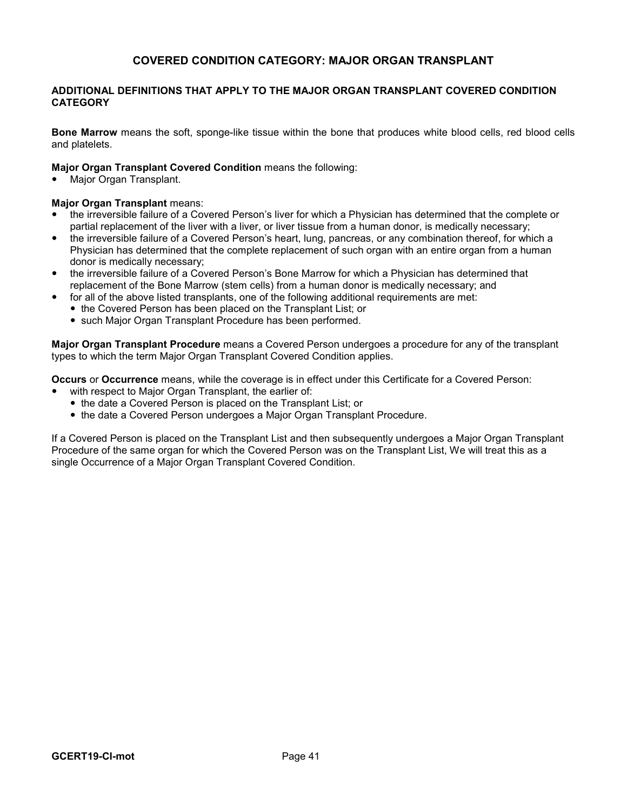### **COVERED CONDITION CATEGORY: MAJOR ORGAN TRANSPLANT**

#### **ADDITIONAL DEFINITIONS THAT APPLY TO THE MAJOR ORGAN TRANSPLANT COVERED CONDITION CATEGORY**

**Bone Marrow** means the soft, sponge-like tissue within the bone that produces white blood cells, red blood cells and platelets.

#### **Major Organ Transplant Covered Condition** means the following:

Major Organ Transplant.

#### **Major Organ Transplant** means:

- the irreversible failure of a Covered Person's liver for which a Physician has determined that the complete or partial replacement of the liver with a liver, or liver tissue from a human donor, is medically necessary;
- the irreversible failure of a Covered Person's heart, lung, pancreas, or any combination thereof, for which a Physician has determined that the complete replacement of such organ with an entire organ from a human donor is medically necessary;
- the irreversible failure of a Covered Person's Bone Marrow for which a Physician has determined that replacement of the Bone Marrow (stem cells) from a human donor is medically necessary; and
- for all of the above listed transplants, one of the following additional requirements are met:
	- the Covered Person has been placed on the Transplant List; or
	- such Major Organ Transplant Procedure has been performed.

**Major Organ Transplant Procedure** means a Covered Person undergoes a procedure for any of the transplant types to which the term Major Organ Transplant Covered Condition applies.

**Occurs** or **Occurrence** means, while the coverage is in effect under this Certificate for a Covered Person:

- with respect to Major Organ Transplant, the earlier of:
	- the date a Covered Person is placed on the Transplant List; or
	- the date a Covered Person undergoes a Major Organ Transplant Procedure.

If a Covered Person is placed on the Transplant List and then subsequently undergoes a Major Organ Transplant Procedure of the same organ for which the Covered Person was on the Transplant List, We will treat this as a single Occurrence of a Major Organ Transplant Covered Condition.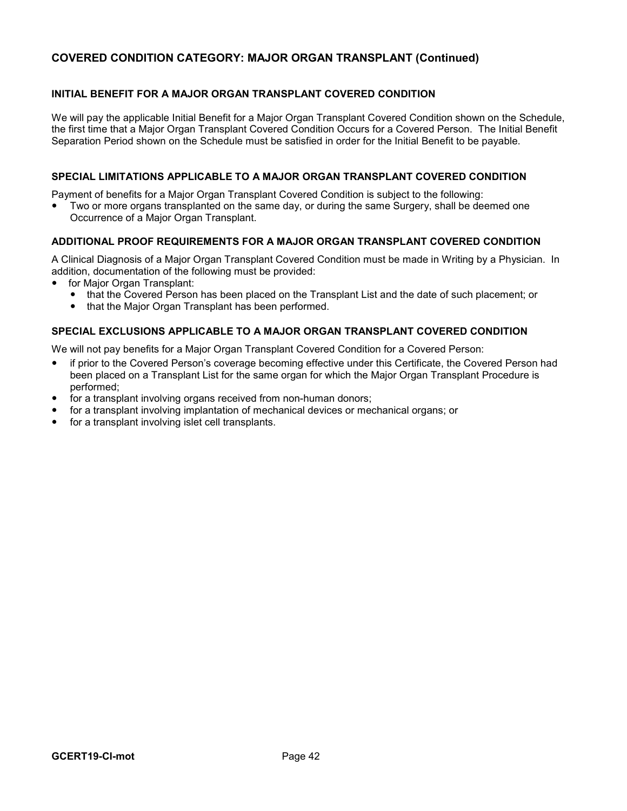# **COVERED CONDITION CATEGORY: MAJOR ORGAN TRANSPLANT (Continued)**

#### **INITIAL BENEFIT FOR A MAJOR ORGAN TRANSPLANT COVERED CONDITION**

We will pay the applicable Initial Benefit for a Major Organ Transplant Covered Condition shown on the Schedule, the first time that a Major Organ Transplant Covered Condition Occurs for a Covered Person. The Initial Benefit Separation Period shown on the Schedule must be satisfied in order for the Initial Benefit to be payable.

#### **SPECIAL LIMITATIONS APPLICABLE TO A MAJOR ORGAN TRANSPLANT COVERED CONDITION**

Payment of benefits for a Major Organ Transplant Covered Condition is subject to the following:

 Two or more organs transplanted on the same day, or during the same Surgery, shall be deemed one Occurrence of a Major Organ Transplant.

#### **ADDITIONAL PROOF REQUIREMENTS FOR A MAJOR ORGAN TRANSPLANT COVERED CONDITION**

A Clinical Diagnosis of a Major Organ Transplant Covered Condition must be made in Writing by a Physician. In addition, documentation of the following must be provided:

- for Major Organ Transplant:
	- that the Covered Person has been placed on the Transplant List and the date of such placement; or
	- that the Major Organ Transplant has been performed.

#### **SPECIAL EXCLUSIONS APPLICABLE TO A MAJOR ORGAN TRANSPLANT COVERED CONDITION**

We will not pay benefits for a Major Organ Transplant Covered Condition for a Covered Person:

- if prior to the Covered Person's coverage becoming effective under this Certificate, the Covered Person had been placed on a Transplant List for the same organ for which the Major Organ Transplant Procedure is performed;
- for a transplant involving organs received from non-human donors;
- for a transplant involving implantation of mechanical devices or mechanical organs; or
- for a transplant involving islet cell transplants.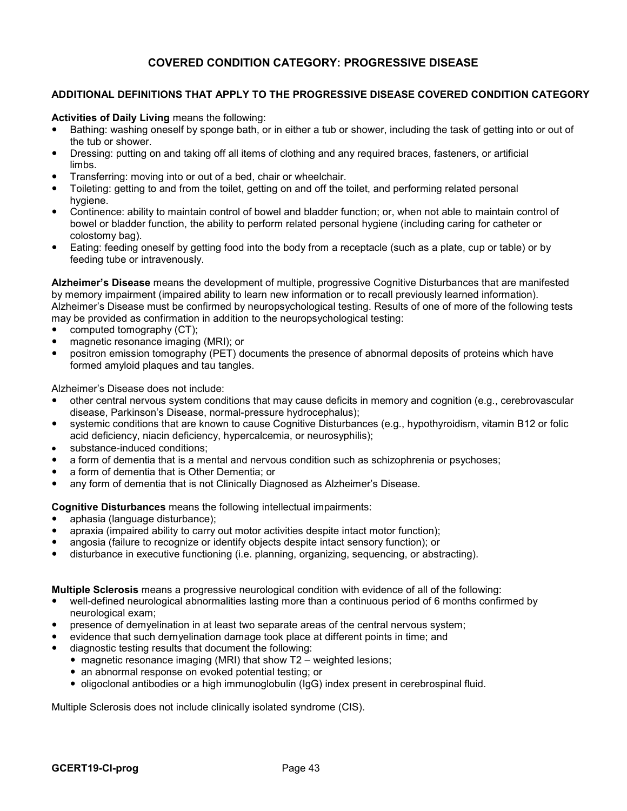### **COVERED CONDITION CATEGORY: PROGRESSIVE DISEASE**

#### **ADDITIONAL DEFINITIONS THAT APPLY TO THE PROGRESSIVE DISEASE COVERED CONDITION CATEGORY**

**Activities of Daily Living** means the following:

- Bathing: washing oneself by sponge bath, or in either a tub or shower, including the task of getting into or out of the tub or shower.
- Dressing: putting on and taking off all items of clothing and any required braces, fasteners, or artificial limbs.
- Transferring: moving into or out of a bed, chair or wheelchair.
- Toileting: getting to and from the toilet, getting on and off the toilet, and performing related personal hygiene.
- Continence: ability to maintain control of bowel and bladder function; or, when not able to maintain control of bowel or bladder function, the ability to perform related personal hygiene (including caring for catheter or colostomy bag).
- Eating: feeding oneself by getting food into the body from a receptacle (such as a plate, cup or table) or by feeding tube or intravenously.

**Alzheimer's Disease** means the development of multiple, progressive Cognitive Disturbances that are manifested by memory impairment (impaired ability to learn new information or to recall previously learned information). Alzheimer's Disease must be confirmed by neuropsychological testing. Results of one of more of the following tests may be provided as confirmation in addition to the neuropsychological testing:

- computed tomography (CT);
- magnetic resonance imaging (MRI); or
- positron emission tomography (PET) documents the presence of abnormal deposits of proteins which have formed amyloid plaques and tau tangles.

Alzheimer's Disease does not include:

- other central nervous system conditions that may cause deficits in memory and cognition (e.g., cerebrovascular disease, Parkinson's Disease, normal-pressure hydrocephalus);
- systemic conditions that are known to cause Cognitive Disturbances (e.g., hypothyroidism, vitamin B12 or folic acid deficiency, niacin deficiency, hypercalcemia, or neurosyphilis);
- substance-induced conditions;
- a form of dementia that is a mental and nervous condition such as schizophrenia or psychoses;
- a form of dementia that is Other Dementia; or
- any form of dementia that is not Clinically Diagnosed as Alzheimer's Disease.

**Cognitive Disturbances** means the following intellectual impairments:

- aphasia (language disturbance);
- apraxia (impaired ability to carry out motor activities despite intact motor function);
- angosia (failure to recognize or identify objects despite intact sensory function); or
- disturbance in executive functioning (i.e. planning, organizing, sequencing, or abstracting).

**Multiple Sclerosis** means a progressive neurological condition with evidence of all of the following:

- well-defined neurological abnormalities lasting more than a continuous period of 6 months confirmed by neurological exam;
- presence of demyelination in at least two separate areas of the central nervous system;
- evidence that such demyelination damage took place at different points in time; and
- diagnostic testing results that document the following:
	- magnetic resonance imaging (MRI) that show T2 weighted lesions;
	- an abnormal response on evoked potential testing; or
	- oligoclonal antibodies or a high immunoglobulin (IgG) index present in cerebrospinal fluid.

Multiple Sclerosis does not include clinically isolated syndrome (CIS).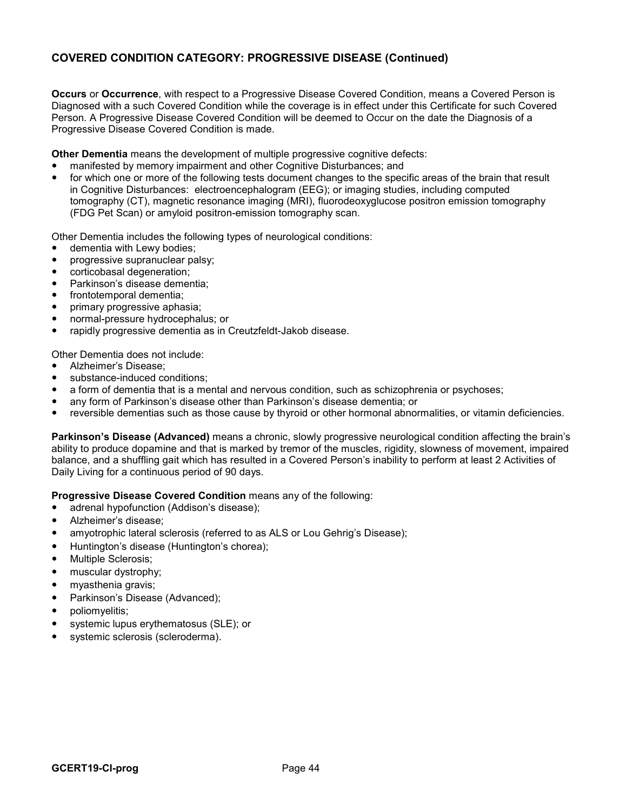# **COVERED CONDITION CATEGORY: PROGRESSIVE DISEASE (Continued)**

**Occurs** or **Occurrence**, with respect to a Progressive Disease Covered Condition, means a Covered Person is Diagnosed with a such Covered Condition while the coverage is in effect under this Certificate for such Covered Person. A Progressive Disease Covered Condition will be deemed to Occur on the date the Diagnosis of a Progressive Disease Covered Condition is made.

**Other Dementia** means the development of multiple progressive cognitive defects:

- manifested by memory impairment and other Cognitive Disturbances; and
- for which one or more of the following tests document changes to the specific areas of the brain that result in Cognitive Disturbances: electroencephalogram (EEG); or imaging studies, including computed tomography (CT), magnetic resonance imaging (MRI), fluorodeoxyglucose positron emission tomography (FDG Pet Scan) or amyloid positron-emission tomography scan.

Other Dementia includes the following types of neurological conditions:

- dementia with Lewy bodies;
- progressive supranuclear palsy;
- corticobasal degeneration;
- Parkinson's disease dementia;
- frontotemporal dementia;
- primary progressive aphasia;
- normal-pressure hydrocephalus; or
- rapidly progressive dementia as in Creutzfeldt-Jakob disease.

Other Dementia does not include:

- Alzheimer's Disease;
- substance-induced conditions;
- a form of dementia that is a mental and nervous condition, such as schizophrenia or psychoses;
- any form of Parkinson's disease other than Parkinson's disease dementia; or
- reversible dementias such as those cause by thyroid or other hormonal abnormalities, or vitamin deficiencies.

**Parkinson's Disease (Advanced)** means a chronic, slowly progressive neurological condition affecting the brain's ability to produce dopamine and that is marked by tremor of the muscles, rigidity, slowness of movement, impaired balance, and a shuffling gait which has resulted in a Covered Person's inability to perform at least 2 Activities of Daily Living for a continuous period of 90 days.

#### **Progressive Disease Covered Condition** means any of the following:

- adrenal hypofunction (Addison's disease);
- Alzheimer's disease;
- amyotrophic lateral sclerosis (referred to as ALS or Lou Gehrig's Disease);
- Huntington's disease (Huntington's chorea);
- Multiple Sclerosis;
- muscular dystrophy;
- myasthenia gravis;
- Parkinson's Disease (Advanced);
- poliomyelitis;
- systemic lupus erythematosus (SLE); or
- systemic sclerosis (scleroderma).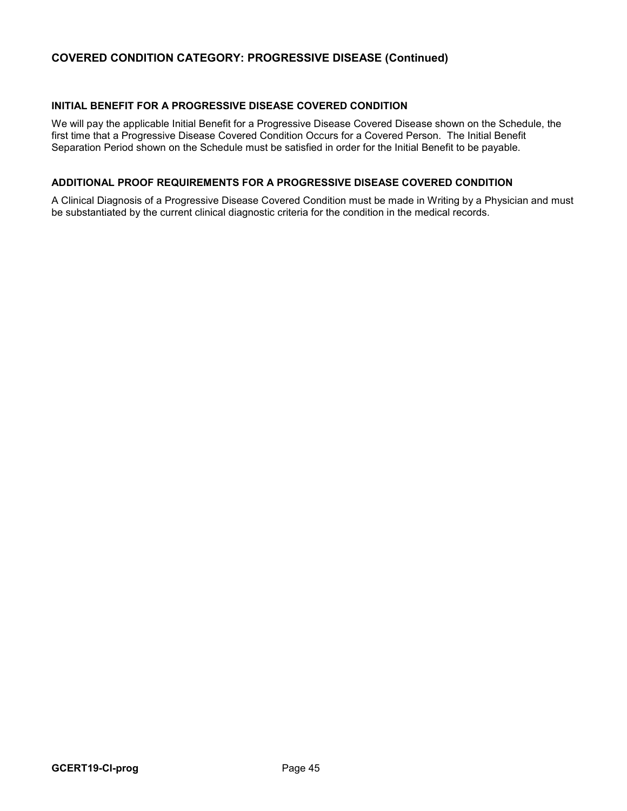# **COVERED CONDITION CATEGORY: PROGRESSIVE DISEASE (Continued)**

#### **INITIAL BENEFIT FOR A PROGRESSIVE DISEASE COVERED CONDITION**

We will pay the applicable Initial Benefit for a Progressive Disease Covered Disease shown on the Schedule, the first time that a Progressive Disease Covered Condition Occurs for a Covered Person. The Initial Benefit Separation Period shown on the Schedule must be satisfied in order for the Initial Benefit to be payable.

#### **ADDITIONAL PROOF REQUIREMENTS FOR A PROGRESSIVE DISEASE COVERED CONDITION**

A Clinical Diagnosis of a Progressive Disease Covered Condition must be made in Writing by a Physician and must be substantiated by the current clinical diagnostic criteria for the condition in the medical records.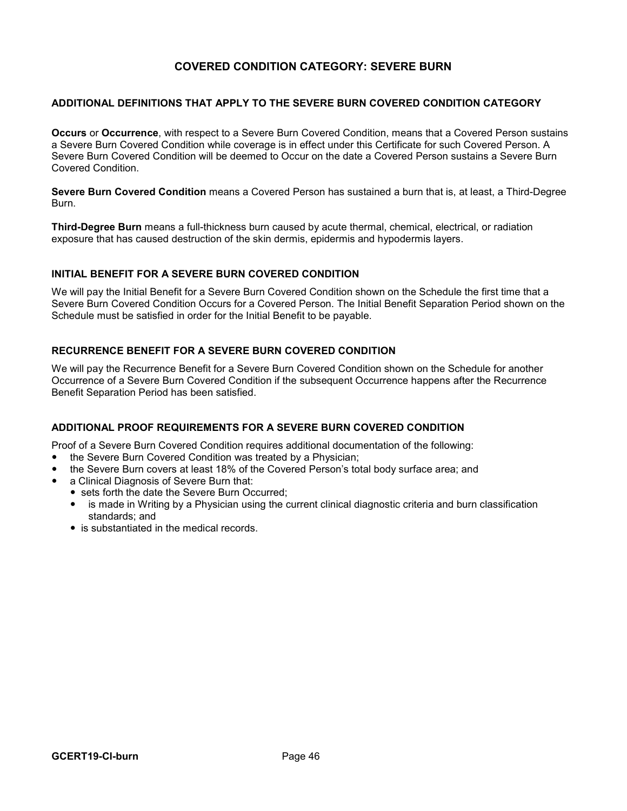### **COVERED CONDITION CATEGORY: SEVERE BURN**

#### **ADDITIONAL DEFINITIONS THAT APPLY TO THE SEVERE BURN COVERED CONDITION CATEGORY**

**Occurs** or **Occurrence**, with respect to a Severe Burn Covered Condition, means that a Covered Person sustains a Severe Burn Covered Condition while coverage is in effect under this Certificate for such Covered Person. A Severe Burn Covered Condition will be deemed to Occur on the date a Covered Person sustains a Severe Burn Covered Condition.

**Severe Burn Covered Condition** means a Covered Person has sustained a burn that is, at least, a Third-Degree Burn.

**Third-Degree Burn** means a full-thickness burn caused by acute thermal, chemical, electrical, or radiation exposure that has caused destruction of the skin dermis, epidermis and hypodermis layers.

#### **INITIAL BENEFIT FOR A SEVERE BURN COVERED CONDITION**

We will pay the Initial Benefit for a Severe Burn Covered Condition shown on the Schedule the first time that a Severe Burn Covered Condition Occurs for a Covered Person. The Initial Benefit Separation Period shown on the Schedule must be satisfied in order for the Initial Benefit to be payable.

#### **RECURRENCE BENEFIT FOR A SEVERE BURN COVERED CONDITION**

We will pay the Recurrence Benefit for a Severe Burn Covered Condition shown on the Schedule for another Occurrence of a Severe Burn Covered Condition if the subsequent Occurrence happens after the Recurrence Benefit Separation Period has been satisfied.

#### **ADDITIONAL PROOF REQUIREMENTS FOR A SEVERE BURN COVERED CONDITION**

Proof of a Severe Burn Covered Condition requires additional documentation of the following:

- the Severe Burn Covered Condition was treated by a Physician;
- the Severe Burn covers at least 18% of the Covered Person's total body surface area; and
- a Clinical Diagnosis of Severe Burn that:
	- sets forth the date the Severe Burn Occurred;
	- is made in Writing by a Physician using the current clinical diagnostic criteria and burn classification standards; and
	- is substantiated in the medical records.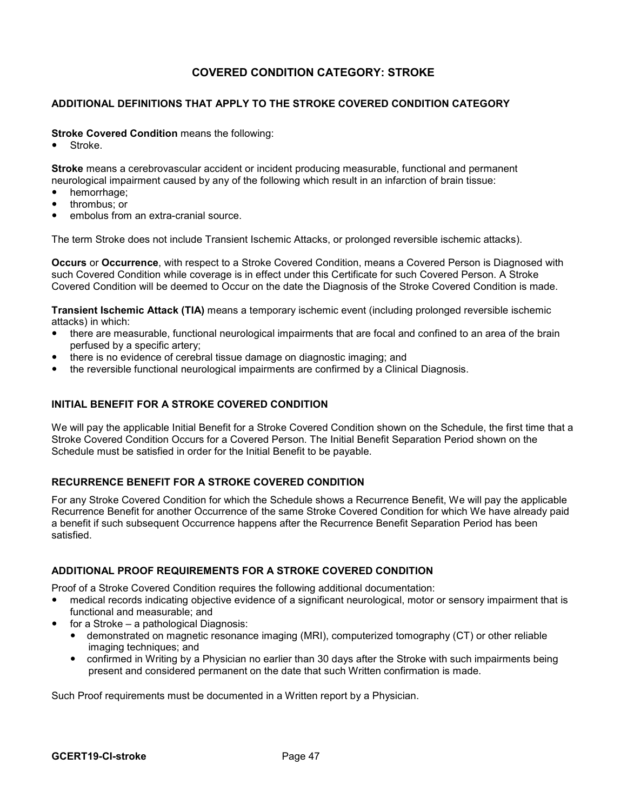# **COVERED CONDITION CATEGORY: STROKE**

#### **ADDITIONAL DEFINITIONS THAT APPLY TO THE STROKE COVERED CONDITION CATEGORY**

#### **Stroke Covered Condition** means the following:

• Stroke.

**Stroke** means a cerebrovascular accident or incident producing measurable, functional and permanent neurological impairment caused by any of the following which result in an infarction of brain tissue:

- hemorrhage;
- thrombus; or
- embolus from an extra-cranial source.

The term Stroke does not include Transient Ischemic Attacks, or prolonged reversible ischemic attacks).

**Occurs** or **Occurrence**, with respect to a Stroke Covered Condition, means a Covered Person is Diagnosed with such Covered Condition while coverage is in effect under this Certificate for such Covered Person. A Stroke Covered Condition will be deemed to Occur on the date the Diagnosis of the Stroke Covered Condition is made.

**Transient Ischemic Attack (TIA)** means a temporary ischemic event (including prolonged reversible ischemic attacks) in which:

- there are measurable, functional neurological impairments that are focal and confined to an area of the brain perfused by a specific artery;
- there is no evidence of cerebral tissue damage on diagnostic imaging; and
- the reversible functional neurological impairments are confirmed by a Clinical Diagnosis.

#### **INITIAL BENEFIT FOR A STROKE COVERED CONDITION**

We will pay the applicable Initial Benefit for a Stroke Covered Condition shown on the Schedule, the first time that a Stroke Covered Condition Occurs for a Covered Person. The Initial Benefit Separation Period shown on the Schedule must be satisfied in order for the Initial Benefit to be payable.

#### **RECURRENCE BENEFIT FOR A STROKE COVERED CONDITION**

For any Stroke Covered Condition for which the Schedule shows a Recurrence Benefit, We will pay the applicable Recurrence Benefit for another Occurrence of the same Stroke Covered Condition for which We have already paid a benefit if such subsequent Occurrence happens after the Recurrence Benefit Separation Period has been satisfied.

#### **ADDITIONAL PROOF REQUIREMENTS FOR A STROKE COVERED CONDITION**

Proof of a Stroke Covered Condition requires the following additional documentation:

- medical records indicating objective evidence of a significant neurological, motor or sensory impairment that is functional and measurable; and
- for a Stroke a pathological Diagnosis:
	- demonstrated on magnetic resonance imaging (MRI), computerized tomography (CT) or other reliable imaging techniques; and
	- confirmed in Writing by a Physician no earlier than 30 days after the Stroke with such impairments being present and considered permanent on the date that such Written confirmation is made.

Such Proof requirements must be documented in a Written report by a Physician.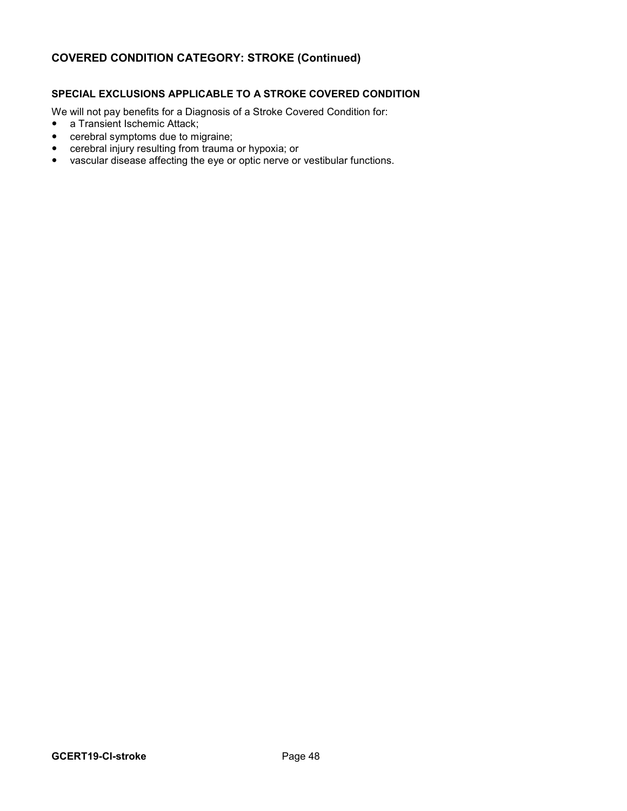# **COVERED CONDITION CATEGORY: STROKE (Continued)**

#### **SPECIAL EXCLUSIONS APPLICABLE TO A STROKE COVERED CONDITION**

We will not pay benefits for a Diagnosis of a Stroke Covered Condition for:

- a Transient Ischemic Attack;
- cerebral symptoms due to migraine;
- cerebral injury resulting from trauma or hypoxia; or
- vascular disease affecting the eye or optic nerve or vestibular functions.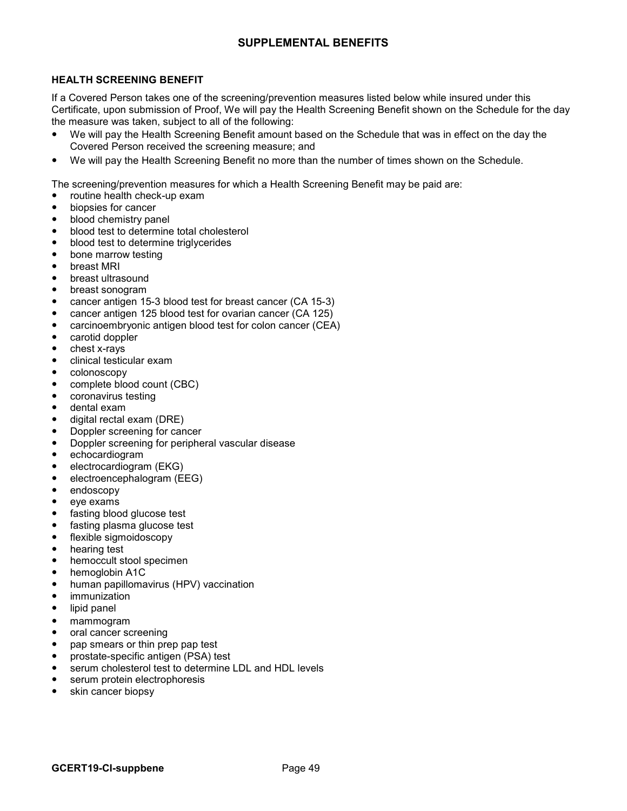### **SUPPLEMENTAL BENEFITS**

#### **HEALTH SCREENING BENEFIT**

If a Covered Person takes one of the screening/prevention measures listed below while insured under this Certificate, upon submission of Proof, We will pay the Health Screening Benefit shown on the Schedule for the day the measure was taken, subject to all of the following:

- We will pay the Health Screening Benefit amount based on the Schedule that was in effect on the day the Covered Person received the screening measure; and
- We will pay the Health Screening Benefit no more than the number of times shown on the Schedule.

The screening/prevention measures for which a Health Screening Benefit may be paid are:

- routine health check-up exam
- biopsies for cancer
- blood chemistry panel
- blood test to determine total cholesterol
- blood test to determine triglycerides
- bone marrow testing
- breast MRI
- breast ultrasound
- breast sonogram
- cancer antigen 15-3 blood test for breast cancer (CA 15-3)
- cancer antigen 125 blood test for ovarian cancer (CA 125)
- carcinoembryonic antigen blood test for colon cancer (CEA)
- carotid doppler
- chest x-rays
- clinical testicular exam
- colonoscopy
- complete blood count (CBC)
- coronavirus testing
- dental exam
- digital rectal exam (DRE)
- Doppler screening for cancer
- Doppler screening for peripheral vascular disease
- echocardiogram
- electrocardiogram (EKG)
- electroencephalogram (EEG)
- endoscopy
- eye exams
- fasting blood glucose test
- fasting plasma glucose test
- flexible sigmoidoscopy
- hearing test
- hemoccult stool specimen
- hemoglobin A1C
- human papillomavirus (HPV) vaccination
- immunization
- lipid panel
- mammogram
- oral cancer screening
- pap smears or thin prep pap test
- prostate-specific antigen (PSA) test
- serum cholesterol test to determine LDL and HDL levels
- serum protein electrophoresis
- skin cancer biopsy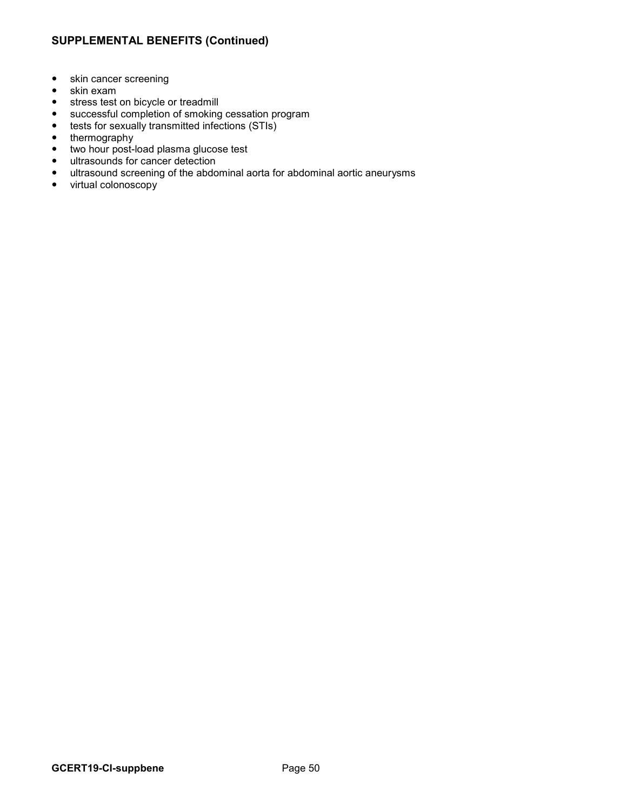# **SUPPLEMENTAL BENEFITS (Continued)**

- skin cancer screening
- skin exam
- stress test on bicycle or treadmill
- successful completion of smoking cessation program
- tests for sexually transmitted infections (STIs)
- thermography
- two hour post-load plasma glucose test
- ultrasounds for cancer detection
- ultrasound screening of the abdominal aorta for abdominal aortic aneurysms
- virtual colonoscopy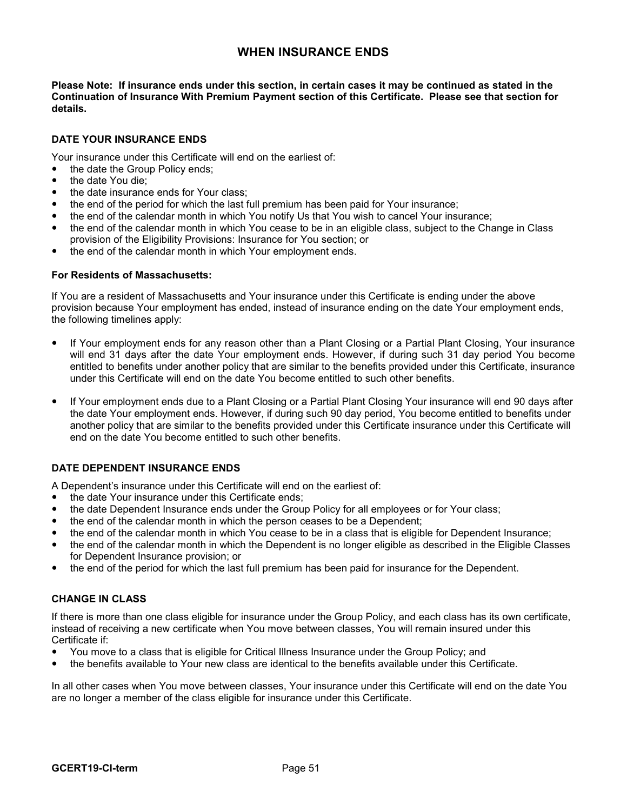# **WHEN INSURANCE ENDS**

**Please Note: If insurance ends under this section, in certain cases it may be continued as stated in the Continuation of Insurance With Premium Payment section of this Certificate. Please see that section for details.** 

#### **DATE YOUR INSURANCE ENDS**

Your insurance under this Certificate will end on the earliest of:

- the date the Group Policy ends;
- the date You die;
- the date insurance ends for Your class;
- the end of the period for which the last full premium has been paid for Your insurance;
- the end of the calendar month in which You notify Us that You wish to cancel Your insurance;
- the end of the calendar month in which You cease to be in an eligible class, subject to the Change in Class provision of the Eligibility Provisions: Insurance for You section; or
- the end of the calendar month in which Your employment ends.

#### **For Residents of Massachusetts:**

If You are a resident of Massachusetts and Your insurance under this Certificate is ending under the above provision because Your employment has ended, instead of insurance ending on the date Your employment ends, the following timelines apply:

- If Your employment ends for any reason other than a Plant Closing or a Partial Plant Closing, Your insurance will end 31 days after the date Your employment ends. However, if during such 31 day period You become entitled to benefits under another policy that are similar to the benefits provided under this Certificate, insurance under this Certificate will end on the date You become entitled to such other benefits.
- If Your employment ends due to a Plant Closing or a Partial Plant Closing Your insurance will end 90 days after the date Your employment ends. However, if during such 90 day period, You become entitled to benefits under another policy that are similar to the benefits provided under this Certificate insurance under this Certificate will end on the date You become entitled to such other benefits.

#### **DATE DEPENDENT INSURANCE ENDS**

A Dependent's insurance under this Certificate will end on the earliest of:

- the date Your insurance under this Certificate ends;
- the date Dependent Insurance ends under the Group Policy for all employees or for Your class;
- the end of the calendar month in which the person ceases to be a Dependent;
- the end of the calendar month in which You cease to be in a class that is eligible for Dependent Insurance;
- the end of the calendar month in which the Dependent is no longer eligible as described in the Eligible Classes for Dependent Insurance provision; or
- the end of the period for which the last full premium has been paid for insurance for the Dependent.

#### **CHANGE IN CLASS**

If there is more than one class eligible for insurance under the Group Policy, and each class has its own certificate, instead of receiving a new certificate when You move between classes, You will remain insured under this Certificate if:

- You move to a class that is eligible for Critical Illness Insurance under the Group Policy; and
- the benefits available to Your new class are identical to the benefits available under this Certificate.

In all other cases when You move between classes, Your insurance under this Certificate will end on the date You are no longer a member of the class eligible for insurance under this Certificate.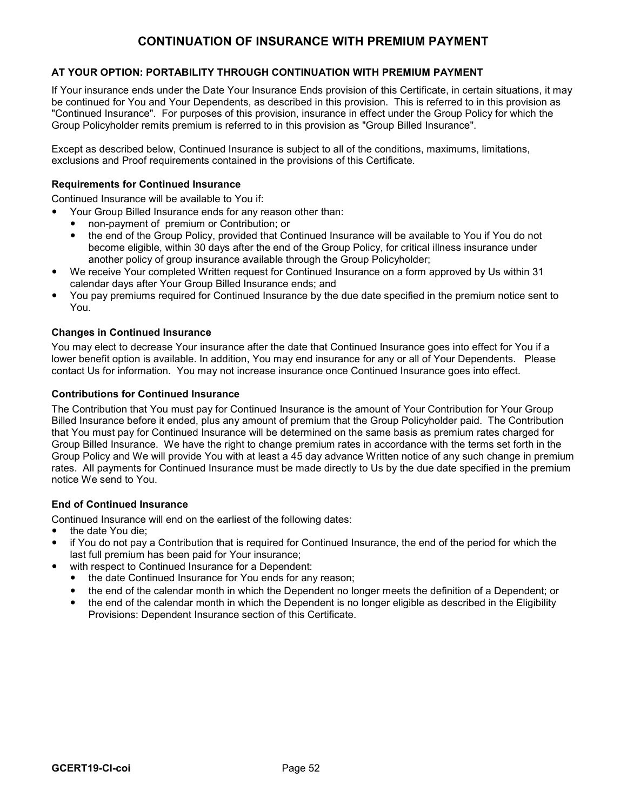# **CONTINUATION OF INSURANCE WITH PREMIUM PAYMENT**

#### **AT YOUR OPTION: PORTABILITY THROUGH CONTINUATION WITH PREMIUM PAYMENT**

If Your insurance ends under the Date Your Insurance Ends provision of this Certificate, in certain situations, it may be continued for You and Your Dependents, as described in this provision. This is referred to in this provision as "Continued Insurance". For purposes of this provision, insurance in effect under the Group Policy for which the Group Policyholder remits premium is referred to in this provision as "Group Billed Insurance".

Except as described below, Continued Insurance is subject to all of the conditions, maximums, limitations, exclusions and Proof requirements contained in the provisions of this Certificate.

#### **Requirements for Continued Insurance**

Continued Insurance will be available to You if:

- Your Group Billed Insurance ends for any reason other than:
	- non-payment of premium or Contribution; or
		- the end of the Group Policy, provided that Continued Insurance will be available to You if You do not become eligible, within 30 days after the end of the Group Policy, for critical illness insurance under another policy of group insurance available through the Group Policyholder;
- We receive Your completed Written request for Continued Insurance on a form approved by Us within 31 calendar days after Your Group Billed Insurance ends; and
- You pay premiums required for Continued Insurance by the due date specified in the premium notice sent to You.

#### **Changes in Continued Insurance**

You may elect to decrease Your insurance after the date that Continued Insurance goes into effect for You if a lower benefit option is available. In addition, You may end insurance for any or all of Your Dependents. Please contact Us for information. You may not increase insurance once Continued Insurance goes into effect.

#### **Contributions for Continued Insurance**

The Contribution that You must pay for Continued Insurance is the amount of Your Contribution for Your Group Billed Insurance before it ended, plus any amount of premium that the Group Policyholder paid. The Contribution that You must pay for Continued Insurance will be determined on the same basis as premium rates charged for Group Billed Insurance. We have the right to change premium rates in accordance with the terms set forth in the Group Policy and We will provide You with at least a 45 day advance Written notice of any such change in premium rates. All payments for Continued Insurance must be made directly to Us by the due date specified in the premium notice We send to You.

#### **End of Continued Insurance**

Continued Insurance will end on the earliest of the following dates:

- the date You die;
- if You do not pay a Contribution that is required for Continued Insurance, the end of the period for which the last full premium has been paid for Your insurance;
	- with respect to Continued Insurance for a Dependent:
		- the date Continued Insurance for You ends for any reason; Î
		- the end of the calendar month in which the Dependent no longer meets the definition of a Dependent; or
		- the end of the calendar month in which the Dependent is no longer eligible as described in the Eligibility Provisions: Dependent Insurance section of this Certificate.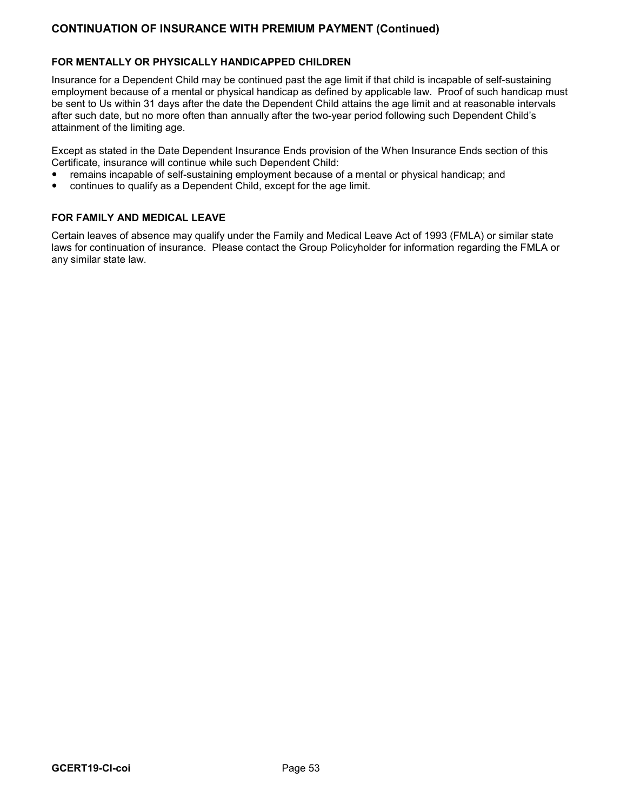# **CONTINUATION OF INSURANCE WITH PREMIUM PAYMENT (Continued)**

#### **FOR MENTALLY OR PHYSICALLY HANDICAPPED CHILDREN**

Insurance for a Dependent Child may be continued past the age limit if that child is incapable of self-sustaining employment because of a mental or physical handicap as defined by applicable law. Proof of such handicap must be sent to Us within 31 days after the date the Dependent Child attains the age limit and at reasonable intervals after such date, but no more often than annually after the two-year period following such Dependent Child's attainment of the limiting age.

Except as stated in the Date Dependent Insurance Ends provision of the When Insurance Ends section of this Certificate, insurance will continue while such Dependent Child:

- remains incapable of self-sustaining employment because of a mental or physical handicap; and
- continues to qualify as a Dependent Child, except for the age limit.

#### **FOR FAMILY AND MEDICAL LEAVE**

Certain leaves of absence may qualify under the Family and Medical Leave Act of 1993 (FMLA) or similar state laws for continuation of insurance. Please contact the Group Policyholder for information regarding the FMLA or any similar state law.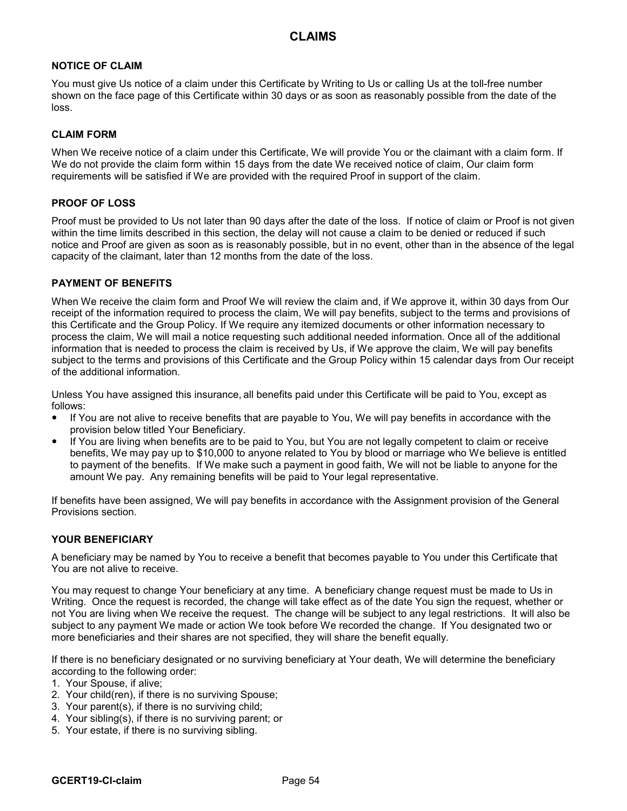#### **NOTICE OF CLAIM**

You must give Us notice of a claim under this Certificate by Writing to Us or calling Us at the toll-free number shown on the face page of this Certificate within 30 days or as soon as reasonably possible from the date of the loss.

#### **CLAIM FORM**

When We receive notice of a claim under this Certificate, We will provide You or the claimant with a claim form. If We do not provide the claim form within 15 days from the date We received notice of claim, Our claim form requirements will be satisfied if We are provided with the required Proof in support of the claim.

#### **PROOF OF LOSS**

Proof must be provided to Us not later than 90 days after the date of the loss. If notice of claim or Proof is not given within the time limits described in this section, the delay will not cause a claim to be denied or reduced if such notice and Proof are given as soon as is reasonably possible, but in no event, other than in the absence of the legal capacity of the claimant, later than 12 months from the date of the loss.

#### **PAYMENT OF BENEFITS**

When We receive the claim form and Proof We will review the claim and, if We approve it, within 30 days from Our receipt of the information required to process the claim, We will pay benefits, subject to the terms and provisions of this Certificate and the Group Policy. If We require any itemized documents or other information necessary to process the claim, We will mail a notice requesting such additional needed information. Once all of the additional information that is needed to process the claim is received by Us, if We approve the claim, We will pay benefits subject to the terms and provisions of this Certificate and the Group Policy within 15 calendar days from Our receipt of the additional information.

Unless You have assigned this insurance, all benefits paid under this Certificate will be paid to You, except as follows:

- If You are not alive to receive benefits that are payable to You, We will pay benefits in accordance with the provision below titled Your Beneficiary.
- If You are living when benefits are to be paid to You, but You are not legally competent to claim or receive benefits, We may pay up to \$10,000 to anyone related to You by blood or marriage who We believe is entitled to payment of the benefits. If We make such a payment in good faith, We will not be liable to anyone for the amount We pay. Any remaining benefits will be paid to Your legal representative.

If benefits have been assigned, We will pay benefits in accordance with the Assignment provision of the General Provisions section.

#### **YOUR BENEFICIARY**

A beneficiary may be named by You to receive a benefit that becomes payable to You under this Certificate that You are not alive to receive.

You may request to change Your beneficiary at any time. A beneficiary change request must be made to Us in Writing. Once the request is recorded, the change will take effect as of the date You sign the request, whether or not You are living when We receive the request. The change will be subject to any legal restrictions. It will also be subject to any payment We made or action We took before We recorded the change. If You designated two or more beneficiaries and their shares are not specified, they will share the benefit equally.

If there is no beneficiary designated or no surviving beneficiary at Your death, We will determine the beneficiary according to the following order:

- 1. Your Spouse, if alive;
- 2. Your child(ren), if there is no surviving Spouse;
- 3. Your parent(s), if there is no surviving child;
- 4. Your sibling(s), if there is no surviving parent; or
- 5. Your estate, if there is no surviving sibling.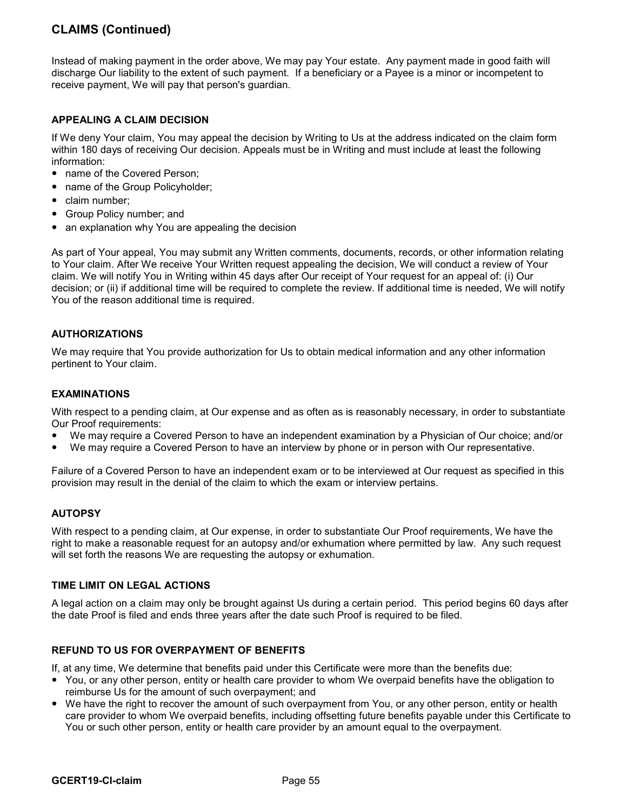# **CLAIMS (Continued)**

Instead of making payment in the order above, We may pay Your estate. Any payment made in good faith will discharge Our liability to the extent of such payment. If a beneficiary or a Payee is a minor or incompetent to receive payment, We will pay that person's guardian.

#### **APPEALING A CLAIM DECISION**

If We deny Your claim, You may appeal the decision by Writing to Us at the address indicated on the claim form within 180 days of receiving Our decision. Appeals must be in Writing and must include at least the following information:

- name of the Covered Person:
- name of the Group Policyholder;
- claim number:
- Group Policy number; and
- an explanation why You are appealing the decision

As part of Your appeal, You may submit any Written comments, documents, records, or other information relating to Your claim. After We receive Your Written request appealing the decision, We will conduct a review of Your claim. We will notify You in Writing within 45 days after Our receipt of Your request for an appeal of: (i) Our decision; or (ii) if additional time will be required to complete the review. If additional time is needed, We will notify You of the reason additional time is required.

#### **AUTHORIZATIONS**

We may require that You provide authorization for Us to obtain medical information and any other information pertinent to Your claim.

#### **EXAMINATIONS**

With respect to a pending claim, at Our expense and as often as is reasonably necessary, in order to substantiate Our Proof requirements:

- We may require a Covered Person to have an independent examination by a Physician of Our choice; and/or
- We may require a Covered Person to have an interview by phone or in person with Our representative.

Failure of a Covered Person to have an independent exam or to be interviewed at Our request as specified in this provision may result in the denial of the claim to which the exam or interview pertains.

#### **AUTOPSY**

With respect to a pending claim, at Our expense, in order to substantiate Our Proof requirements, We have the right to make a reasonable request for an autopsy and/or exhumation where permitted by law. Any such request will set forth the reasons We are requesting the autopsy or exhumation.

#### **TIME LIMIT ON LEGAL ACTIONS**

A legal action on a claim may only be brought against Us during a certain period. This period begins 60 days after the date Proof is filed and ends three years after the date such Proof is required to be filed.

#### **REFUND TO US FOR OVERPAYMENT OF BENEFITS**

If, at any time, We determine that benefits paid under this Certificate were more than the benefits due:

- You, or any other person, entity or health care provider to whom We overpaid benefits have the obligation to reimburse Us for the amount of such overpayment; and
- We have the right to recover the amount of such overpayment from You, or any other person, entity or health care provider to whom We overpaid benefits, including offsetting future benefits payable under this Certificate to You or such other person, entity or health care provider by an amount equal to the overpayment.